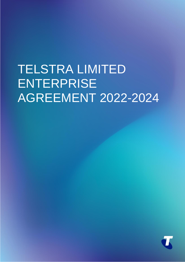# TELSTRA LIMITED ENTERPRISE AGREEMENT 2022-2024

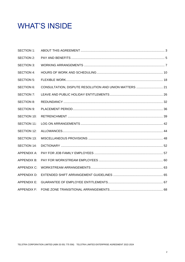# **WHAT'S INSIDE**

| <b>SECTION 1:</b>  |  |
|--------------------|--|
| <b>SECTION 2:</b>  |  |
| <b>SECTION 3:</b>  |  |
| <b>SECTION 4:</b>  |  |
| SECTION 5:         |  |
| SECTION 6:         |  |
| <b>SECTION 7:</b>  |  |
| <b>SECTION 8:</b>  |  |
| <b>SECTION 9:</b>  |  |
| SECTION 10:        |  |
| SECTION 11:        |  |
| SECTION 12:        |  |
| <b>SECTION 13:</b> |  |
| <b>SECTION 14:</b> |  |
| <b>APPENDIX A:</b> |  |
| <b>APPENDIX B:</b> |  |
| <b>APPENDIX C:</b> |  |
| <b>APPENDIX D:</b> |  |
| <b>APPENDIX E:</b> |  |
| <b>APPENDIX F:</b> |  |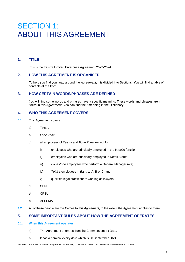# SECTION 1: ABOUT THIS AGREEMENT

# **1. TITLE**

This is the Telstra Limited Enterprise Agreement 2022-2024.

### **2. HOW THIS AGREEMENT IS ORGANISED**

To help *you* find your way around the *Agreement*, it is divided into Sections. *You* will find a table of contents at the front.

# **3. HOW CERTAIN WORDS/PHRASES ARE DEFINED**

*You* will find some words and phrases have a specific meaning. These words and phrases are in *italics* in this *Agreement*. *You* can find their meaning in the Dictionary.

### **4. WHO THIS AGREEMENT COVERS**

- **4.1.** This *Agreement* covers:
	- a) *Telstra*
	- b) *Fone Zone*
	- c) all employees of *Telstra* and *Fone Zone*, except for:
		- i) employees who are principally employed in the InfraCo function;
		- ii) employees who are principally employed in Retail Stores;
		- iii) *Fone Zone* employees who perform a General Manager role;
		- iv) *Telstra* employees in *Band* 1, A, B or C; and
		- v) qualified legal practitioners working as lawyers
	- d) CEPU
	- e) CPSU
	- f) APESMA
- **4.2.** All of these people are the *Parties* to this *Agreement*, to the extent the *Agreement* applies to them.

# **5. SOME IMPORTANT RULES ABOUT HOW THE AGREEMENT OPERATES**

#### **5.1. When this Agreement operates**

- a) The Agreement operates from the Commencement Date.
- b) It has a nominal expiry date which is 30 September 2024.

TELSTRA CORPORATION LIMITED (ABN 33 051 775 556) TELSTRA LIMITED ENTERPRISE AGREEMENT 2022-2024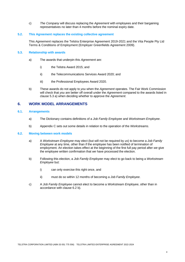c) *The Company* will discuss replacing the *Agreement* with employees and their bargaining representatives no later than 4 months before the nominal expiry date.

#### **5.2. This Agreement replaces the existing collective agreement**

This *Agreement* replaces the Telstra Enterprise Agreement 2019-2021 and the Vita People Pty Ltd Terms & Conditions of Employment (Employer Greenfields Agreement 2009).

#### **5.3. Relationship with awards**

- a) The awards that underpin this *Agreement* are:
	- i) the Telstra Award 2015; and
	- ii) the Telecommunications Services Award 2020; and
	- iii) the Professional Employees Award 2020.
- b) These awards do not apply to *you* when the *Agreement* operates. The Fair Work Commission will check that *you* are better off overall under the *Agreement* compared to the awards listed in clause 5.3 a) when deciding whether to approve the *Agreement*.

#### **6. WORK MODEL ARRANGEMENTS**

#### **6.1. Arrangements**

- a) The Dictionary contains definitions of a *Job Family Employee* and *Workstream Employee*.
- b) Appendix C sets out some details in relation to the operation of the *Workstreams*.

#### **6.2. Moving between work models**

- a) A *Workstream Employee* may elect (but will not be required by *us*) to become a *Job Family Employee* at any time, other than if the employee has been notified of termination of employment. An election takes effect at the beginning of the first full pay period after *we* give the employee written confirmation that *we* have processed the election.
- b) Following this election, a *Job Family Employee* may elect to go back to being a *Workstream Employee* but:
	- i) can only exercise this right once, and
	- ii) must do so within 12 months of becoming a *Job Family Employee*.
- c) A *Job Family Employee* cannot elect to become a *Workstream Employee*, other than in accordance with clause 6.2 b).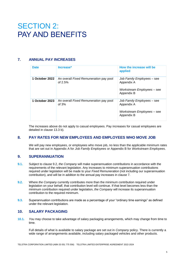# SECTION 2: PAY AND BENEFITS

# **7. ANNUAL PAY INCREASES**

| <b>Date</b>    | Increase*                                         | How the increase will be<br>applied                                                  |
|----------------|---------------------------------------------------|--------------------------------------------------------------------------------------|
| 1 October 2022 | An overall Fixed Remuneration pay pool<br>of 2.5% | Job Family Employees – see<br>Appendix A<br>Workstream Employees – see<br>Appendix B |
| 1 October 2023 | An overall Fixed Remuneration pay pool<br>of $3%$ | Job Family Employees – see<br>Appendix A<br>Workstream Employees – see<br>Appendix B |

The increases above do not apply to casual employees. Pay increases for casual employees are detailed in clause 13.3 b).

### **8. PAY RATES FOR NEW EMPLOYEES AND EMPLOYEES WHO MOVE JOB**

*We* will pay new employees, or employees who move job, no less than the applicable minimum rates that are set out in Appendix A for *Job Family Employees* or Appendix B for *Workstream Employees*.

# **9. SUPERANNUATION**

- **9.1.** Subject to clause 9.2, *the Company* will make superannuation contributions in accordance with the requirements of the relevant legislation. Any increases to minimum superannuation contributions required under legislation will be made to your *Fixed Remuneration* (not including our superannuation contribution), and will be in addition to the annual pay increases in clause 7.
- **9.2.** Where *the Company* currently contributes more than the minimum contribution required under legislation on your behalf, that contribution level will continue. If that level becomes less than the minimum contribution required under legislation, *the Company* will increase its superannuation contribution to the required minimum.
- **9.3.** Superannuation contributions are made as a percentage of your "ordinary time earnings" as defined under the relevant legislation.

# **10. SALARY PACKAGING**

**10.1.** *You* may choose to take advantage of salary packaging arrangements, which may change from time to time.

Full details of what is available to salary package are set out in *Company* policy. There is currently a wide range of arrangements available, including salary packaged vehicles and other products.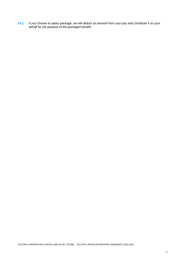**10.2.** If *you* choose to salary package, *we* will deduct an amount from your pay and contribute it on your behalf for the purpose of the packaged benefit.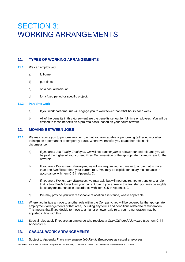# **SECTION 3:** WORKING ARRANGEMENTS

# **11. TYPES OF WORKING ARRANGEMENTS**

- **11.1.** *We* can employ *you*:
	- a) full-time;
	- b) part-time:
	- c) on a casual basis; or
	- d) for a fixed period or specific project.

#### **11.2. Part-time work**

- a) If *you* work part-time, *we* will engage *you* to work fewer than 36¾ hours each week.
- b) All of the benefits in this *Agreement* are the benefits set out for full-time employees. *You* will be entitled to these benefits on a pro rata basis, based on your hours of work.

### **12. MOVING BETWEEN JOBS**

- **12.1.** *We* may require *you* to perform another role that *you* are capable of performing (either now or after training) on a permanent or temporary basis. Where *we* transfer *you* to another role in this circumstance:
	- a) If *you* are a *Job Family Employee*, *we* will not transfer *you* to a lower banded role and *you* will be paid the higher of your current *Fixed Remuneration* or the appropriate minimum rate for the new role.
	- b) If *you* are a *Workstream Employee*, *we* will not require *you* to transfer to a role that is more than one *band* lower than your current role. *You* may be eligible for salary maintenance in accordance with item C.5 in Appendix C.
	- c) If *you* are a *Workstream Employee*, *we* may ask, but will not require, *you* to transfer to a role that is two *Bands* lower than your current role. If *you* agree to this transfer, *you* may be eligible for salary maintenance in accordance with item C.5 in Appendix C.
	- d) *We* may provide *you* with reasonable relocation assistance, where applicable.
- **12.2.** Where *you* initiate a move to another role within the *Company*, *you* will be covered by the appropriate employment arrangements of that area, including any terms and conditions related to remuneration. This means that if *you* decide to move to a higher or lower paid role, your remuneration may be adiusted in line with this.
- **12.3.** Special rules apply if *you* are an employee who receives a *Grandfathered Allowance* (see item C.4 in Appendix C).

# **13. CASUAL WORK ARRANGEMENTS**

**13.1.** Subject to Appendix F*, we* may engage *Job Family Employees* as casual employees.

TELSTRA CORPORATION LIMITED (ABN 33 051 775 556) TELSTRA LIMITED ENTERPRISE AGREEMENT 2022-2024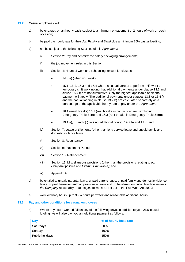- **13.2.** Casual employees will:
	- a) be engaged on an hourly basis subject to a minimum engagement of 2 hours of work on each occasion;
	- b) be paid the hourly rate for their *Job Family* and *Band* plus a minimum 25% casual loading;
	- c) not be subject to the following Sections of this *Agreement*:
		- i) Section 2: Pay and benefits: the salary packaging arrangements;
		- ii) the job movement rules in this Section;
		- iii) Section 4: Hours of work and scheduling, except for clauses:
			- 14.3 a) (when you work);
			- 15.1, 15.2, 15.3 and 15.4 where a casual agrees to perform shift work or temporary shift work noting that additional payments under clause 13.3 and clause 15.4 f) are not cumulative. Only the highest applicable additional payment will apply. The additional payments under clauses 13.3 or 15.4 f) and the casual loading in clause 13.2 b) are calculated separately as a percentage of the applicable hourly rate of pay under the *Agreement*;
			- 16.1 (meal breaks),16.2 (rest breaks in contact centres (excluding Emergency Triple Zero) and 16.3 (rest breaks in Emergency Triple Zero);
			- 19.1 a), b) and c) (working additional hours); 19.2 b) and 19.4; and
		- iv) Section 7: Leave entitlements (other than long service leave and unpaid family and domestic violence leave);
		- v) Section 8: Redundancy;
		- vi) Section 9: Placement Period;
		- vii) Section 10: Retrenchment;
		- viii) Section 13: Miscellaneous provisions (other than the provisions relating to *our Company* policies and *Exempt Employees*); and
		- ix) Appendix A;
	- d) be entitled to unpaid parental leave, unpaid carer's leave, unpaid family and domestic violence leave, unpaid bereavement/compassionate leave and to be absent on public holidays (unless *the Company* reasonably requires *you* to work) as set out in the Fair Work Act 2009;
	- e) work ordinary hours up to 36 ¾ hours per week and reasonable additional hours.

#### **13.3. Pay and other conditions for casual employees**

a) Where any hours worked fall on any of the following days, in addition to your 25% casual loading, *we* will also pay *you* an additional payment as follows:

| Day             | % of hourly base rate |
|-----------------|-----------------------|
| Saturdays       | 50%                   |
| Sundays         | 100%                  |
| Public holidays | 150%                  |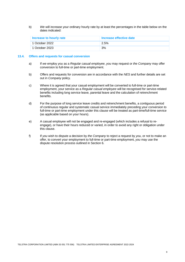b) *We* will increase your ordinary hourly rate by at least the percentages in the table below on the dates indicated:

| Increase to hourly rate | Increase effective date |
|-------------------------|-------------------------|
| 1 October 2022          | 2.5%                    |
| 1 October 2023          | 3%                      |

#### **13.4. Offers and requests for casual conversion**

- a) If *we* employ *you* as a *Regular casual employee*, *you* may request or *the Company* may offer conversion to full-time or part-time employment.
- b) Offers and requests for conversion are in accordance with the *NES* and further details are set out in *Company* policy.
- c) Where it is agreed that your casual employment will be converted to full-time or part-time employment, your service as a *Regular casual employee* will be recognised for service-related benefits including long service leave, parental leave and the calculation of retrenchment benefits.
- d) For the purpose of long service leave credits and retrenchment benefits, a contiguous period of continuous regular and systematic casual service immediately preceding your conversion to full-time or part-time employment under this clause will be treated as part-time/full-time service (as applicable based on your hours).
- e) A casual employee will not be engaged and re-engaged (which includes a refusal to reengage), or have their hours reduced or varied, in order to avoid any right or obligation under this clause.
- f) If *you* wish to dispute a decision by *the Company* to reject a request by *you*, or not to make an offer, to convert your employment to full-time or part-time employment, *you* may use the dispute resolution process outlined in Section 6.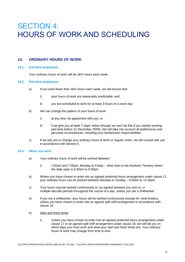# SECTION 4: HOURS OF WORK AND SCHEDULING

# **14. ORDINARY HOURS OF WORK**

#### **14.1. Full-time employees**

Your ordinary hours of work will be 36¾ hours each week.

#### **14.2. Part-time employees**

- a) If *you* work fewer than 36¾ hours each week, *we* will ensure that:
	- i) your hours of work are reasonably predictable, and
	- ii) *you* are scheduled to work for at least 3 hours on a work day.
- b) *We* can change the pattern of your hours of work:
	- i) at any time, by agreement with *you*, or
	- ii) if *we* give *you* at least 7 days' notice (though *we* can't do this if *you* started working part-time before 21 December 2000). *We* will take into account all preferences and personal circumstances, including your family/carer responsibilities.
- c) If *we* ask *you* to change your ordinary hours of work or regular roster, *we* will consult with *you* in accordance with Section 6.

#### **14.3. When you work**

- a) Your ordinary hours of work will be worked between:
	- i) 7:00am and 7:00pm, Monday to Friday other than in the Northern Territory where the daily span is 6:30am to 6:30pm.
- b) Where *you* have chosen to enter into an agreed preferred hours arrangement under clause 17, your ordinary hours can be worked between Monday to Sunday – 6:00am to 11:00pm.
- c) Your hours may be worked continuously or, as agreed between *you* and *us*, in multiple discrete periods throughout the course of a day, unless *you* are a shiftworker.
- d) If *you* are a shiftworker, your hours will be worked continuously (except for meal breaks), unless *you* have chosen to enter into an agreed *split shift* arrangement in accordance with clause 18.
- e) Start and finish times
	- i) Unless *you* have chosen to enter into an agreed preferred hours arrangement under clause 17 or an agreed *split shift* arrangement under clause 18, *we* will tell *you* on which days *you* must work and what your start and finish times are. Your ordinary hours of work may change from time to time.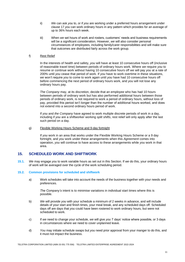- ii) *We* can ask *you* to, or if *you* are working under a preferred hours arrangement under clause 17 *you* can work ordinary hours in any pattern which provides for an average of up to 36¾ hours each week.
- iii) When *we* set hours of work and rosters, customers' needs and business requirements will be a significant consideration. However, *we* will also consider personal circumstances of employees, including family/carer responsibilities and will make sure that outcomes are distributed fairly across the work group.

#### f) Rest Relief

In the interests of health and safety, *you* will have at least 10 consecutive hours off (inclusive of reasonable travel time) between periods of ordinary hours work. Where *we* require *you* to resume or continue work without having 10 consecutive hours off *we* will pay *you* at a rate of 200% until *you* cease that period of work. If *you* have to work overtime in these situations, *we* won't require *you* to come to work again until *you* have had 10 consecutive hours off before commencing the next period of ordinary hours work, and *you* will not lose any ordinary hours pay.

*The Company* may, at its discretion, decide that an employee who has had 10 hours between periods of ordinary work but has also performed additional hours between those periods of ordinary work, is not required to work a period of ordinary hours, without loss of pay, provided this period isn't longer than the number of additional hours worked, and does not extend into a second ordinary hours period of work.

If *you* and *the Company* have agreed to work multiple discrete periods of work in a day, including if *you* are a shiftworker working *split shifts*, rest relief will only apply after the last such period on a day.

#### g) Flexible Working Hours Scheme and 9-day fortnight

If *you* work in an area that works under the Flexible Working Hours Scheme or a 9 day fortnight, and *you* work under these arrangements when this *Agreement* comes into operation, *you* will continue to have access to these arrangements while *you* work in that area.

### **15. SCHEDULED WORK AND SHIFTWORK**

**15.1.** *We* may engage *you* to work variable hours as set out in this Section. If *we* do this, your ordinary hours of work will be averaged over the cycle of the work scheduling period.

#### **15.2. Common provisions for scheduled and shiftwork**

a) Work schedules will take into account the needs of the business together with your needs and preferences.

*The Company's* intent is to minimise variations in individual start times where this is possible.

- b) *We* will provide *you* with your schedule a minimum of 2 weeks in advance, and will include details of your start and finish times, your meal break, and any scheduled days off. Scheduled days off are days that *you* could have been rostered to work ordinary hours, but were not scheduled to work.
- c) If *we* need to change your schedule, *we* will give *you* 7 days' notice where possible, or 3 days in circumstances where *we* need to cover unplanned leave.
- d) *You* may initiate schedule swaps but *you* need prior approval from your manger to do this, and it must not impact the business.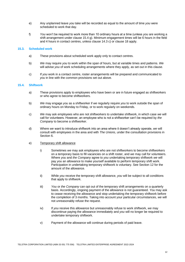- e) Any unplanned leave *you* take will be recorded as equal to the amount of time *you* were scheduled to work that day.
- f) *You* won't be required to work more than 10 ordinary hours at a time (unless *you* are working a shift arrangement under clause 15.4 g). Minimum engagement times will be 6 hours in the field and 4 hours in contact centres, unless clause 14.3 c) or clause 18 apply.

#### **15.3. Scheduled work**

- a) These provisions about scheduled work apply only to contact centres.
- b) *We* may require *you* to work within the span of hours, but at variable times and patterns. *We*  will advise *you* of work scheduling arrangements where they apply, as set out in this clause.
- c) If *you* work in a contact centre, roster arrangements will be prepared and communicated to *you* in line with the common provisions set out above.

#### **15.4. Shiftwork**

- a) These provisions apply to employees who have been or are in future engaged as shiftworkers or who agree to become shiftworkers.
- b) *We* may engage *you* as a shiftworker if *we* regularly require *you* to work outside the span of ordinary hours on Monday to Friday, or to work regularly on weekends.
- c) *We* may ask employees who are not shiftworkers to undertake shiftwork, in which case *we* will call for volunteers. However, an employee who is not a shiftworker can't be required by *the Company* to become a shiftworker.
- d) Where *we* want to introduce shiftwork into an area where it doesn't already operate, *we* will consult with employees in the area and with *The Unions*, under the consultation provisions in Section 6.
- e) Temporary shift allowance
	- i) Sometimes *we* may ask employees who are not shiftworkers to become shiftworkers on a temporary basis to fill vacancies on a shift roster, and *we* may call for volunteers. Where *you* and *the Company* agree to *you* undertaking temporary shiftwork *we* will pay *you* an allowance to make yourself available to perform temporary shift work. Participation in undertaking temporary shiftwork is voluntary. See Section 12 for the amount of the allowance.
	- ii) While *you* receive the temporary shift allowance, *you* will be subject to all conditions that apply to shiftwork.
	- iii) *You* or *the Company* can opt out of the temporary shift arrangements on a quarterly basis. Accordingly, ongoing payment of the allowance is not guaranteed. *You* may ask to cease receiving the allowance and stop undertaking the temporary shiftwork before the completion of 3 months. Taking into account your particular circumstances, *we* will not unreasonably refuse the request.
	- iv) If *you* receive this allowance but unreasonably refuse to work shiftwork, *we* may discontinue paying the allowance immediately and *you* will no longer be required to undertake temporary shiftwork.
	- v) Payment of the allowance will continue during periods of paid leave.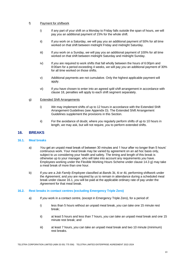#### f) Payment for shiftwork

- i) If any part of your shift on a Monday to Friday falls outside the span of hours, *we* will pay *you* an additional payment of 15% for the whole shift.
- ii) If *you* work on a Saturday, *we* will pay *you* an additional payment of 50% for all time worked on that shift between midnight Friday and midnight Saturday.
- iii) If *you* work on a Sunday, *we* will pay *you* an additional payment of 100% for all time worked on that shift between midnight Saturday and midnight Sunday.
- iv) If *you* are required to work shifts that fall wholly between the hours of 6:00pm and 8:00am for a period exceeding 4 weeks, *we* will pay *you* an additional payment of 30% for all time worked on those shifts.
- v) Additional payments are not cumulative. Only the highest applicable payment will apply.
- vi) If *you* have chosen to enter into an agreed *split shift* arrangement in accordance with clause 18, penalties will apply to each shift segment separately.

#### g) Extended Shift Arrangements

- i) *We* may implement shifts of up to 12 hours in accordance with the Extended Shift Arrangement Guidelines (see Appendix D). The Extended Shift Arrangement Guidelines supplement the provisions in this Section.
- ii) For the avoidance of doubt, where *you* regularly perform shifts of up to 10 hours in length, *we* may ask, but will not require, *you* to perform extended shifts.

# **16. BREAKS**

#### **16.1. Meal breaks**

- a) *You* get an unpaid meal break of between 30 minutes and 1 hour after no longer than 5 hours' continuous work. Your meal break may be varied by agreement on an ad hoc basis only, subject to *us* considering your health and safety. The timing and length of this break is otherwise up to your manager, who will take into account any requirements *you* have. Employees working under the Flexible Working Hours Scheme under clause 14.3 g) may take a meal break of more than one hour.
- b) If *you* are a *Job Family Employee* classified at *Band*s 3ii, 4i or 4ii, performing shiftwork under the *Agreement,* and *you* are required by *us* to remain in attendance during a scheduled meal break under clause 16.1, *you* will be paid at the applicable ordinary rate of pay under the *Agreement* for that meal break.

#### **16.2. Rest breaks in contact centres (excluding Emergency Triple Zero)**

- a) If *you* work in a contact centre, (except in Emergency Triple Zero), for a period of:
	- i) less than 5 hours without an unpaid meal break, *you* can take one 15 minute rest break;
	- ii) at least 5 hours and less than 7 hours, *you* can take an unpaid meal break and one 15 minute rest break; and
	- iii) at least 7 hours, *you* can take an unpaid meal break and two 10 minute (minimum) rest breaks.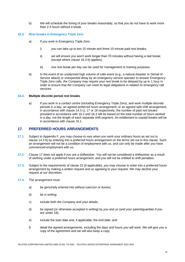b) *We* will schedule the timing of your breaks reasonably, so that *you* do not have to work more than 2-3 hours without a break.

#### **16.3. Rest breaks in Emergency Triple Zero**

- a) If *you* work in Emergency Triple Zero:
	- i) *you* can take up to two 15 minute and three 10 minute paid rest breaks;
	- ii) we will ensure *you* won't work longer than 70 minutes without having a rest break; (except where clause 16.3 b) applies);
	- iii) one rest break per day can be used for management or training purposes.
- b) In the event of an unplanned high volume of calls event (e.g., a natural disaster or Denial of Service attack) or unexpected delay by an emergency service operator to answer Emergency Triple Zero calls, *the Company* may require your rest break to be delayed by up to 1 hour in order to ensure that *the Company* can meet its legal obligations in relation to emergency call services.

#### **16.4. Multiple discrete period rest breaks**

a) If you work in a contact centre (including Emergency Triple Zero), and work multiple discrete periods in a day, an agreed preferred hours arrangement, or an agreed split shift arrangement, in accordance with clause 14.3 c), 17 or 18 respectively, the number of paid rest breaks provided in accordance with 16.2 and 16.3 will be based on the total number of hours worked in a day, not the length of each separate shift segment. An entitlement to unpaid breaks will be in accordance with clause 16.1.

# **17. PREFERRED HOURS ARRANGEMENTS**

- **17.1.** Subject to Appendix F*, you* may choose to vary when *you* work your ordinary hours as set out in clause 14.3 b) by entering into a preferred hours arrangement on the terms set out in this clause. Such an arrangement will not be a condition of employment with *us*, and can only be made after *you* have commenced employment with *us*.
- **17.2.** Clause 17 does not apply if *you* are a shiftworker. *You* will not be considered a shiftworker as a result of working under a preferred hours arrangement, and *you* will not be entitled to shift penalties.
- **17.3.** Subject to the requirements of clause 22 (if applicable), *you* may choose to enter into a preferred hours arrangement by making a written request and *us* agreeing to your request. *We* may decline your request at *our* discretion.
- **17.4.** The arrangement must:
	- a) be genuinely entered into without coercion or duress;
	- b) be in writing;
	- c) include both *the Company* and your details;
	- d) be signed (or otherwise accepted in writing) by *you* and *us* (and your parent/guardian if *you* are under 18);
	- e) include the start date and, if applicable, the end date; and
	- f) detail the agreed arrangements, including the days and hours *you* will work. *We* will give *you* a copy of the agreement and *we* will also keep a copy.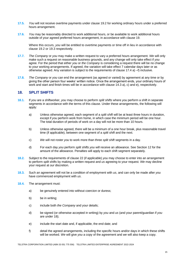- **17.5.** *You* will not receive overtime payments under clause 19.2 for working ordinary hours under a preferred hours arrangement.
- **17.6.** *You* may be reasonably directed to work additional hours, or be available to work additional hours outside of your agreed preferred hours arrangement, in accordance with clause 19.

Where this occurs, *you* will be entitled to overtime payments or time off in lieu in accordance with clause 19.2 or 19.3 respectively.

- **17.7.** *The Company* or *you* may make a written request to vary a preferred hours arrangement. *We* will only make such a request on reasonable business grounds, and any change will only take effect if *you* agree. For the period that either *you* or *the Company* is considering a request there will be no change to your working arrangements. If agreed, the variation will take effect 7 calendar days later or as otherwise agreed. Any variation is subject to the requirements of clause 17.4 a) –f) inclusive.
- **17.8.** *The Company* or *you* can end the arrangement (as agreed or varied) by agreement at any time or by giving the other person four weeks' written notice. Once the arrangement ends, your ordinary hours of work and start and finish times will be in accordance with clause 14.3 a), c) and e), respectively.

# **18. SPLIT SHIFTS**

- **18.1.** If *you* are a shiftworker, *you* may choose to perform *split shifts* where *you* perform a shift in separate segments in accordance with the terms of this clause. Under these arrangements, the following will apply:
	- a) Unless otherwise agreed, each segment of a *split shift* will be at least three hours in duration, except if *you* perform work from home, in which case the minimum period will be one hour. The total duration of periods of work on a day will not be more than 10 hours.
	- b) Unless otherwise agreed, there will be a minimum of a one hour break, plus reasonable travel time (if applicable), between one segment of a *split shift* and the next.
	- c) *We* will not roster *you* to work more than three *split shift* segments in a day.
	- d) For each day *you* perform *split shifts you* will receive an allowance. See Section 12 for the amount of the allowance. Penalties will apply to each shift segment separately.
- **18.2.** Subject to the requirements of clause 22 (if applicable) *you* may choose to enter into an arrangement to perform *split shifts* by making a written request and *us* agreeing to your request. *We* may decline your request at *our* discretion.
- **18.3.** Such an agreement will not be a condition of employment with *us*, and can only be made after *you* have commenced employment with *us*.
- **18.4.** The arrangement must:
	- a) be genuinely entered into without coercion or duress;
	- b) be in writing;
	- c) include both *the Company* and your details;
	- d) be signed (or otherwise accepted in writing) by *you* and *us* (and your parent/guardian if *you* are under 18);
	- e) include the start date and, if applicable, the end date; and
	- f) detail the agreed arrangements, including the specific hours and/or days in which these shifts will be worked. *We* will give *you* a copy of the agreement and *we* will also keep a copy.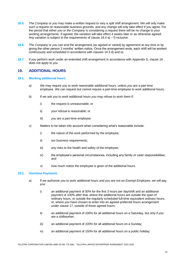- **18.5.** *The Company* or *you* may make a written request to vary a *split shift* arrangement. *We* will only make such a request on reasonable business grounds, and any change will only take effect if *you* agree. For the period that either *you* or *the Company* is considering a request there will be no change to your working arrangements. If agreed, the variation will take effect 4 weeks later or as otherwise agreed. Any variation is subject to the requirements of clause  $18.4$  a) – f) inclusive.
- **18.6.** *The Company* or *you* can end the arrangement (as agreed or varied) by agreement at any time or by giving the other person 3 months' written notice. Once the arrangement ends, each shift will be worked continuously and scheduled in accordance with clauses 14.3 d) and e).
- **18.7.** If *you* perform work under an extended shift arrangement in accordance with Appendix D, clause 18 does not apply to *you*.

### **19. ADDITIONAL HOURS**

#### **19.1. Working additional hours**

- a) *We* may require *you* to work reasonable additional hours, unless *you* are a part-time employee. *We* can request but cannot require a part-time employee to work additional hours.
- b) If *we* ask *you* to work additional hours *you* may refuse to work them if:
	- i) the request is unreasonable; or
	- ii) your refusal is reasonable; or
	- iii) *you* are a part-time employee
- c) Matters to be taken into account when considering what's reasonable include:
	- i) the nature of the work performed by the employee;
	- ii) *our* business requirements;
	- iii) any risks to the health and safety of the employee;
	- iv) the employee's personal circumstances, including any family or carer responsibilities; and
	- v) how much notice the employee is given of the additional hours.

#### **19.2. Overtime Payments**

- a) If *we* authorise *you* to work additional hours and *you* are not an *Exempt Employee*, *we* will pay *you*:
	- i) an additional payment of 50% for the first 3 hours per day/shift and an additional payment of 100% after that, where the additional hours are outside the span of ordinary hours, or outside the regularly scheduled full-time equivalent ordinary hours, or, where *you* have chosen to enter into an agreed preferred hours arrangement under clause 17, outside of those agreed hours;
	- ii) an additional payment of 100% for all additional hours on a Saturday, but only if *you* are a shiftworker;
	- iii) an additional payment of 100% for all additional hours on a Sunday;
	- iv) an additional payment of 150% for all additional hours on a public holiday;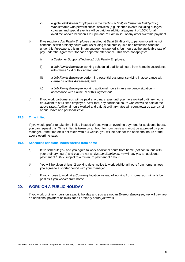- v) eligible *Workstream Employees* in the *Technical (TW)* or *Customer Field (CFW)* Workstreams who perform critical activities (e.g. planned events including outages, cutovers and special events) will be paid an additional payment of 100% for all overtime worked between 11:00pm and 7:00am in lieu of any other overtime payment.
- b) If we require a *Job Family Employee* classified at *Band* 3ii, 4i or 4ii, to perform overtime not continuous with ordinary hours work (excluding meal breaks) in a non-restriction situation under this *Agreement*, this minimum engagement period is four hours at the applicable rate of pay under the *Agreement* for each separate attendance. This does not apply to:
	- i) a Customer Support (Technical) Job Family Employee;
	- ii) a *Job Family Employee* working scheduled additional hours from home in accordance with clause 19.4 of this *Agreement*;
	- iii) a *Job Family Employee* performing essential customer servicing in accordance with clause 67 of this *Agreement*; and
	- iv) a *Job Family Employee* working additional hours in an emergency situation in accordance with clause 69 of this *Agreement*.
- c) If *you* work part-time, *you* will be paid at ordinary rates until *you* have worked ordinary hours equivalent to a full-time employee. After that, any additional hours worked will be paid at the above rates. Additional hours worked and paid at ordinary rates will count towards accrual of annual leave and personal leave.

#### **19.3. Time in lieu**

If *you* would prefer to take time in lieu instead of receiving an overtime payment for additional hours, *you* can request this. Time in lieu is taken on an hour for hour basis and must be approved by your manager. If the time off is not taken within 4 weeks, *you* will be paid for the additional hours at the above overtime rates.

#### **19.4. Scheduled additional hours worked from home**

- a) If *we* schedule *you* and *you* agree to work additional hours from home (not continuous with your ordinary hours) and *you* are not an *Exempt Employee*, *we* will pay *you* an additional payment of 100%, subject to a minimum payment of 1 hour.
- b) *You* will be given at least 2 working days' notice to work additional hours from home, unless *you* agree to a shorter period with your manager.
- c) If *you* choose to work at a *Company* location instead of working from home, *you* will only be paid as if *you* worked from home.

# **20. WORK ON A PUBLIC HOLIDAY**

If *you* work ordinary hours on a public holiday and *you* are not an *Exempt Employee*, *we* will pay *you* an additional payment of 150% for all ordinary hours *you* work.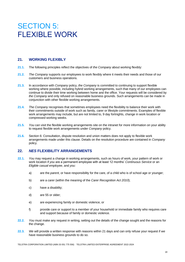# **SECTION 5:** FLEXIBLE WORK

# **21. WORKING FLEXIBLY**

- **21.1.** The following principles reflect the objectives of *the Company* about working flexibly:
- **21.2.** *The Company* supports our employees to work flexibly where it meets their needs and those of our customers and business operations.
- **21.3.** In accordance with *Company* policy, *the Company* is committed to continuing to support flexible working where possible, including hybrid working arrangements, such that many of our employees can continue to divide their time working between home and the office. Your requests will be considered by *the Company* and only refused on reasonable business grounds. Such arrangements can be made in conjunction with other flexible working arrangements.
- **21.4.** *The Company* recognises that sometimes employees need the flexibility to balance their work with their commitments outside of work such as family, carer or lifestyle commitments. Examples of flexible work arrangements may include, but are not limited to, 9 day fortnights, change in work location or compressed working weeks.
- **21.5.** *You* can visit the flexible working arrangements site on the intranet for more information on your ability to request flexible work arrangements under *Company* policy.
- **21.6.** Section 6: Consultation, dispute resolution and union matters does not apply to flexible work arrangements made under this clause. Details on the resolution procedure are contained in *Company*  policy.

# **22.** *NES* **FLEXIBILITY ARRANGEMENTS**

- **22.1.** *You* may request a change in working arrangements, such as hours of work, your pattern of work or work location if *you* are a permanent employee with at least 12 months' *Continuous Service* or an *Eligible casual employee*, and *you*:
	- a) are the *parent*, or have responsibility for the care, of a child who is of school age or younger;
	- b) are a carer (within the meaning of the *Carer Recognition Act 2010*);
	- c) have a disability;
	- d) are 55 or older;
	- e) are experiencing family or domestic violence, or
	- f) provide care or support to a member of your household or immediate family who requires care and support because of family or domestic violence.
- **22.2.** *You* must make any request in writing, setting out the details of the change sought and the reasons for the change.
- **22.3.** *We* will provide a written response with reasons within 21 days and can only refuse your request if *we* have reasonable business grounds to do so.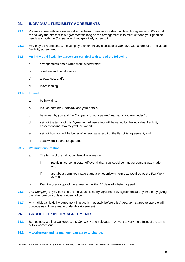### **23. INDIVIDUAL FLEXIBILITY AGREEMENTS**

- **23.1.** *We* may agree with *you*, on an individual basis, to make an individual flexibility agreement. *We* can do this to vary the effect of this *Agreement* so long as the arrangement is to meet *our* and your genuine needs and both *the Company* and *you* genuinely agree to it.
- **23.2.** *You* may be represented, including by a union, in any discussions *you* have with *us* about an individual flexibility agreement.
- **23.3. An individual flexibility agreement can deal with any of the following:**
	- a) arrangements about when work is performed;
	- b) overtime and penalty rates;
	- c) allowances; and/or
	- d) leave loading.

#### **23.4. It must:**

- a) be in writing;
- b) include both *the Company* and your details;
- c) be signed by *you* and *the Company* (or your parent/guardian if *you* are under 18);
- d) set out the terms of this *Agreement* whose effect will be varied by the individual flexibility agreement and how they will be varied;
- e) set out how *you* will be better off overall as a result of the flexibility agreement; and
- f) state when it starts to operate.

#### **23.5.** *We* **must ensure that:**

- a) The terms of the individual flexibility agreement:
	- i) result in *you* being better off overall than *you* would be if no agreement was made; and
	- ii) are about permitted matters and are not unlawful terms as required by the Fair Work Act 2009.
- b) *We* give *you* a copy of the agreement within 14 days of it being agreed.
- **23.6.** *The Company* or *you* can end the individual flexibility agreement by agreement at any time or by giving the other person 28 days' written notice.
- **23.7.** Any individual flexibility agreement in place immediately before this *Agreement* started to operate will continue as if it were made under this *Agreement.*

#### **24. GROUP FLEXIBILITY AGREEMENTS**

- **24.1.** Sometimes, within a workgroup, *the Company* or employees may want to vary the effects of the terms of this *Agreement*.
- **24.2. A workgroup and its manager can agree to change:**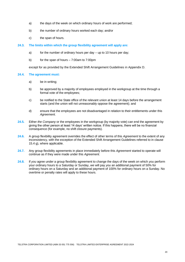- a) the days of the week on which ordinary hours of work are performed;
- b) the number of ordinary hours worked each day; and/or
- c) the span of hours.

#### **24.3. The limits within which the group flexibility agreement will apply are:**

- a) for the number of ordinary hours per day up to 10 hours per day;
- b) for the span of hours 7:00am to 7:00pm

except for as provided by the Extended Shift Arrangement Guidelines in Appendix D.

#### **24.4. The agreement must:**

- a) be in writing;
- b) be approved by a majority of employees employed in the workgroup at the time through a formal vote of the employees;
- c) be notified to the State office of the relevant union at least 14 days before the arrangement starts (and the union will not unreasonably oppose the agreement); and
- d) ensure that the employees are not disadvantaged in relation to their entitlements under this *Agreement*.
- **24.5.** Either *the Company* or the employees in the workgroup (by majority vote) can end the agreement by giving the other person at least 14 days' written notice. If this happens, there will be no financial consequence (for example, no shift closure payments).
- **24.6.** A group flexibility agreement overrides the effect of other terms of this *Agreement* to the extent of any inconsistency, with the exception of the Extended Shift Arrangement Guidelines referred to in clause 15.4 g), where applicable.
- **24.7.** Any group flexibility agreements in place immediately before this *Agreement* started to operate will continue as if they were made under this *Agreement.*
- **24.8.** If *you* agree under a group flexibility agreement to change the days of the week on which *you* perform your ordinary hours to a Saturday or Sunday, *we* will pay *you* an additional payment of 50% for ordinary hours on a Saturday and an additional payment of 100% for ordinary hours on a Sunday. No overtime or penalty rates will apply to these hours.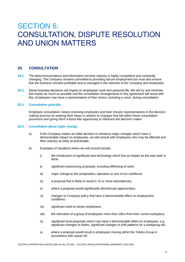# SECTION 6: CONSULTATION, DISPUTE RESOLUTION AND UNION MATTERS

# **25. CONSULTATION**

- **25.1.** The telecommunications and information services industry is highly competitive and constantly changing*. The Company* remains committed to providing secure employment but must also ensure that the business remains profitable and is managed in the interests of *the Company* and employees.
- **25.2.** Some business decisions will impact on employees' work and personal life. *We* will try and minimise this impact as much as possible and the consultation arrangements in this *Agreement* will assist with this. Employees may have a representative of their choice, including a union, during consultation.

#### **25.3. Consultation principle**

Employee consultation means involving employees and their chosen representatives in the decision making process by seeking their views in relation to changes that fall within these consultation provisions and giving them a bona fide opportunity to influence the decision maker.

#### **25.4. Consultation about major change**

- a) If *the Company* makes an initial decision to introduce major changes which have a demonstrable impact on employees, *we* will consult with employees who may be affected and their union(s) as early as practicable.
- b) Examples of situations where *we* will consult include:
	- i) the introduction of significant new technology which has an impact on the way work is done;
	- ii) significant outsourcing proposals, including offshoring of work;
	- iii) major change to the composition, operation or size of *our* workforce;
	- iv) a proposal that is likely to result in 15 or more redundancies;
	- v) where a proposal would significantly diminish job opportunities;
	- vi) changes to *Company* policy that have a demonstrable effect on employment conditions;
	- vii) significant need to retrain employees;
	- viii) the relocation of a group of employees more than 10km from their current workplace;
	- ix) significant local proposals which may have a demonstrable effect on employees, e.g. significant changes to duties, significant changes to shift patterns for a workgroup etc;
	- x) where a proposal would result in employees moving within the Telstra Group in accordance with clause 50.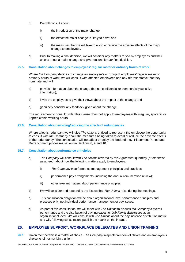- c) *We* will consult about:
	- i) the introduction of the major change;
	- ii) the effect the major change is likely to have; and
	- iii) the measures that *we* will take to avoid or reduce the adverse effects of the major change to employees.
- d) Prior to making a final decision, *we* will consider any matters raised by employees and their unions about a major change and give reasons for *our* final decision.

#### **25.5. Consultation about changes to employees' regular roster or ordinary hours of work**

Where *the Company* decides to change an employee's or group of employees' regular roster or ordinary hours of work, *we* will consult with affected employees and any representative that they nominate and will:

- a) provide information about the change (but not confidential or commercially sensitive information);
- b) invite the employees to give their views about the impact of the change; and
- c) genuinely consider any feedback given about the change.

The requirement to consult under this clause does not apply to employees with irregular, sporadic or unpredictable working hours.

#### **25.6. Consultation about avoiding/reducing the effects of redundancies**

Where a job is redundant *we* will give *The Unions* entitled to represent the employee the opportunity to consult with *the Company* about the measures being taken to avoid or reduce the adverse effects of the redundancy. The consultation will not affect or delay the Redundancy, Placement Period and Retrenchment processes set out in Sections 8, 9 and 10.

#### **25.7. Consultation about performance principles**

- a) *The Company* will consult with *The Unions* covered by this *Agreement* quarterly (or otherwise as agreed) about how the following matters apply to employees:
	- i) *The Company's* performance management principles and practices;
	- ii) performance pay arrangements (including the annual remuneration review);
	- iii) other relevant matters about performance principles;
- b) *We* will consider and respond to the issues that *The Unions* raise during the meetings.
- c) This consultation obligation will be about organisational level performance principles and practices only, not individual performance management or pay issues.
- d) As part of this consultation, *we* will meet with *The Unions* to discuss *the Company's* overall performance and the distribution of pay increases for *Job Family Employees* at an organisational level. *We* will consult with *The Unions* about the pay increase distribution matrix and will, following consultation, publish the matrix on the intranet.

### **26. EMPLOYEE SUPPORT, WORKPLACE DELEGATES AND UNION TRAINING**

**26.1.** Union membership is a matter of choice. *The Company* respects freedom of choice and an employee's choice to join or not join a union.

TELSTRA CORPORATION LIMITED (ABN 33 051 775 556) TELSTRA LIMITED ENTERPRISE AGREEMENT 2022-2024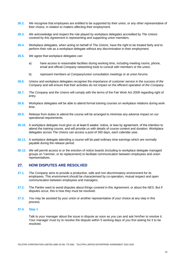- **26.2.** *We* recognise that employees are entitled to be supported by their union, or any other representative of their choice, in relation to matters affecting their employment.
- **26.3.** *We* acknowledge and respect the role played by workplace delegates accredited by *The Unions*  covered by this *Agreement* in representing and supporting union members.
- **26.4.** Workplace delegates, when acting on behalf of *The Unions*, have the right to be treated fairly and to perform their role as a workplace delegate without any discrimination in their employment.
- **26.5.** *We* agree that workplace delegates can:
	- a) have access to reasonable facilities during working time, including meeting rooms, phone, email and official *Company* networking tools to consult with members or the union;
	- b) represent members at *Company*/union consultation meetings or at union forums.
- **26.6.** Unions and workplace delegates recognise the importance of customer service in the success of *the Company* and will ensure that their activities do not impact on the efficient operation of *the Company.*
- **26.7.** *The Company* and *the Unions* will comply with the terms of the Fair Work Act 2009 regarding right of entry.
- **26.8.** Workplace delegates will be able to attend formal training courses on workplace relations during work time.
- **26.9.** Release from duties to attend the course will be arranged to minimise any adverse impact on *our*  operational requirements.
- **26.10.** A workplace delegate must give *us* at least 6 weeks' notice, or less by agreement, of the intention to attend the training course, and will provide *us* with details of course content and duration. Workplace delegates across *The Unions* can access a pool of 260 days, each calendar year.
- **26.11.** A workplace delegate attending a course will be paid ordinary time earnings which are normally payable during the release period.
- **26.12.** *We* will permit access to or the erection of notice boards (including to workplace delegate managed groups on Yammer, or its replacement) to facilitate communication between employees and union representatives.

### **27. HOW DISPUTES ARE RESOLVED**

- **27.1.** *The Company* aims to provide a productive, safe and non discriminatory environment for its employees. This environment should be characterised by co-operation, mutual respect and open communication between employees and managers.
- **27.2.** The *Parties* want to avoid disputes about things covered in this *Agreement,* or about the *NES*. But if disputes occur, this is how they must be resolved.
- **27.3.** *You* may be assisted by your union or another representative of your choice at any step in this process.

#### **27.4. Step 1**

Talk to your manager about the issue in dispute as soon as *you* can and ask him/her to resolve it. Your manager must try to resolve the dispute within 5 working days of *you* first asking for it to be resolved.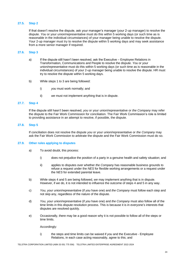#### **27.5. Step 2**

If that doesn't resolve the dispute, ask your manager's manager (your 2-up manager) to resolve the dispute. *You* or your union/representative must do this within 5 working days (or such time as is reasonable in the individual circumstances) of your manager being unable to resolve the dispute. Your 2-up manager must try to resolve the dispute within 5 working days and may seek assistance from a more senior manager if required.

#### **27.6. Step 3**

- a) If the dispute still hasn't been resolved, ask the Executive Employee Relations in Transformation, Communications and People to resolve the dispute. *You* or your union/representative must do this within 5 working days (or such time as is reasonable in the individual circumstances) of your 2-up manager being unable to resolve the dispute. HR must try to resolve the dispute within 5 working days.
- b) While steps 1 to 3 are being followed:
	- i) *you* must work normally; and
	- ii) *we* must not implement anything that is in dispute.

#### **27.7. Step 4**

If the dispute still hasn't been resolved, *you* or your union/representative or *the Company* may refer the dispute to the Fair Work Commission for conciliation. The Fair Work Commission's role is limited to providing assistance in an attempt to resolve, if possible, the dispute.

#### **27.8. Step 5**

If conciliation does not resolve the dispute *you* or your union/representative or *the Company* may ask the Fair Work Commission to arbitrate the dispute and the Fair Work Commission must do so.

#### **27.9. Other rules applying to disputes**

- a) To avoid doubt, this process:
	- i) does not prejudice the position of a party in a genuine health and safety situation; and
	- ii) applies to disputes over whether *the Company* has reasonable business grounds to refuse a request under the *NES* for flexible working arrangements or a request under the *NES* for extended parental leave.
- b) While steps 4 and 5 are being followed, *we* may implement anything that is in dispute. However, if *we* do, it is not intended to influence the outcome of steps 4 and 5 in any way.
- c) *You*, your union/representative (if *you* have one) and *the Company* must follow each step and not skip any, regardless of the nature of the dispute.
- d) *You*, your union/representative (if *you* have one) and *the Company* must also follow all of the time limits in this dispute resolution process. This is because it is in everyone's interests that disputes are resolved quickly.
- e) Occasionally, there may be a good reason why it is not possible to follow all of the steps or time limits.

Accordingly:

i) the steps and time limits can be waived if *you* and the Executive - Employee Relations, in each case acting reasonably, agree to this; and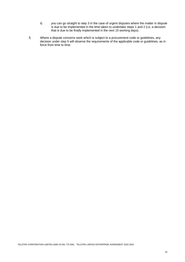- ii) *you* can go straight to step 3 in the case of urgent disputes where the matter in dispute is due to be implemented in the time taken to undertake steps 1 and 2 (i.e, a decision that is due to be finally implemented in the next 15 working days).
- f) Where a dispute concerns work which is subject to a procurement code or guidelines, any decision under step 5 will observe the requirements of the applicable code or guidelines, as in force from time to time.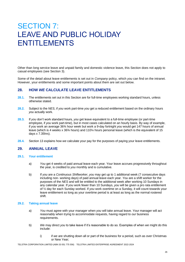# SECTION 7: LEAVE AND PUBLIC HOLIDAY ENTITLEMENTS

Other than long service leave and unpaid family and domestic violence leave, this Section does not apply to casual employees (see Section 3).

Some of the detail about leave entitlements is set out in *Company* policy, which *you* can find on the intranet. However, your entitlements and some important points about them are set out below.

# **28. HOW** *WE* **CALCULATE LEAVE ENTITLEMENTS**

- **28.1.** The entitlements set out in this Section are for full-time employees working standard hours, unless otherwise stated.
- **28.2.** Subject to the *NES*, if *you* work part-time *you* get a reduced entitlement based on the ordinary hours *you* actually work.
- **28.3.** If *you* don't work standard hours, *you* get leave equivalent to a full-time employee (or part-time employee, if *you* work part-time), but in most cases calculated on an hourly basis. By way of example, if *you* work an average 36¾ hour week but work a 9-day fortnight *you* would get 147 hours of annual leave (which is 4 weeks x 36¾ hours) and 110¼ hours personal leave (which is the equivalent of 15 days x 7.35hrs).
- **28.4.** Section 13 explains how *we* calculate your pay for the purposes of paying your leave entitlements.

# **29. ANNUAL LEAVE**

#### **29.1. Your entitlement**

- a) *You* get 4 weeks of paid annual leave each year. Your leave accrues progressively throughout the year, is credited to *you* monthly and is cumulative.
- b) If *you* are a *Continuous Shiftworker*, *you* may get up to 1 additional week (7 consecutive days including non- working days) of paid annual leave each year. *You* are a shift worker for the purposes of the *NES* and will be entitled to the additional week after working 10 Sundays in any calendar year. If *you* work fewer than 10 Sundays, *you* will be given a pro rata entitlement of ½ day for each Sunday worked. If *you* work overtime on a Sunday, it will count towards your leave entitlement so long as your overtime period is at least as long as the normal rostered shift.

#### **29.2. Taking annual leave**

- a) *You* must agree with your manager when *you* will take annual leave. Your manager will act reasonably when trying to accommodate requests, having regard to *our* business requirements.
- b) *We* may direct *you* to take leave if it's reasonable to do so. Examples of when *we* might do this include:
	- i) if *we* are shutting down all or part of the business for a period, such as over Christmas or New Year;

TELSTRA CORPORATION LIMITED (ABN 33 051 775 556) TELSTRA LIMITED ENTERPRISE AGREEMENT 2022-2024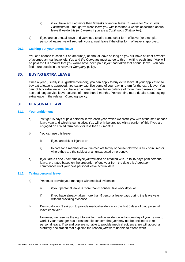- ii) if *you* have accrued more than 6 weeks of annual leave (7 weeks for *Continuous Shiftworkers*) – though *we* won't leave *you* with less than 4 weeks of accrued annual leave if *we* do this (or 5 weeks if *you* are a *Continuous Shiftworker*).
- c) If *you* are on annual leave and *you* need to take some other form of leave (for example, personal leave), *we* will re-credit your annual leave if the other form of leave is approved.

#### **29.3. Cashing out your annual leave**

*You* can choose to cash out an amount(s) of annual leave so long as *you* still have at least 4 weeks of accrued annual leave left. *You* and *the Company* must agree to this in writing each time. *You* will be paid the full amount that *you* would have been paid if *you* had taken that annual leave. *You* can find more details in the relevant *Company* policy.

#### **30. BUYING EXTRA LEAVE**

Once a year (usually in August/September), *you* can apply to buy extra leave. If your application to buy extra leave is approved, *you* salary sacrifice some of your pay in return for the extra leave. *You* cannot buy extra leave if *you* have an accrued annual leave balance of more than 5 weeks or an accrued long service leave balance of more than 2 months. *You* can find more details about buying extra leave in the relevant *Company* policy.

### **31. PERSONAL LEAVE**

#### **31.1. Your entitlement**

- a) *You* get 15 days of paid personal leave each year, which *we* credit *you* with at the start of each leave year and which is cumulative. *You* will only be credited with a portion of this if *you* are engaged on a fixed term basis for less than 12 months.
- b) *You* can use this leave:
	- i) if *you* are sick or injured; or
	- ii) to care for a member of your immediate family or household who is sick or injured or where they are the subject of an unexpected emergency.
- c) If *you* are a *Fone Zone* employee *you* will also be credited with up to 15 days paid personal leave, pro-rated based on the proportion of one year from the date this *Agreement*  commences until your next personal leave accrual date.

#### **31.2. Taking personal leave**

- a) *You* must provide your manager with medical evidence:
	- i) if your personal leave is more than 3 consecutive work days; or
	- ii) if *you* have already taken more than 5 personal leave days during the leave year without providing evidence.
- b) *We* usually won't ask *you* to provide medical evidence for the first 5 days of paid personal leave each year.

However, *we* reserve the right to ask for medical evidence within one day of your return to work if your manager has a reasonable concern that *you* may not be entitled to take personal leave. If so and *you* are not able to provide medical evidence, *we* will accept a statutory declaration that explains the reason *you* were unable to attend work.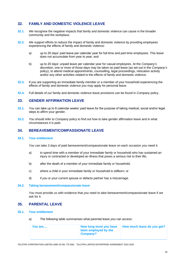# **32. FAMILY AND DOMESTIC VIOLENCE LEAVE**

- **32.1.** *We* recognise the negative impacts that family and domestic violence can cause in the broader community and the workplace.
- **32.2.** *We* support efforts to reduce the impact of family and domestic violence by providing employees experiencing the effects of family and domestic violence:
	- a) up to 20 days' paid leave per calendar year for full-time and part-time employees. This leave does not accumulate from year to year; and
	- b) up to 20 days' unpaid leave per calendar year for casual employees. At the *Company*'*s*  discretion, one or more of those days may be taken as paid leave (as set out in the *Company*'*s*  policy), to attend medical appointments, counselling, legal proceedings, relocation activity and/or any other activities related to the effects of family and domestic violence.
- **32.3.** If *you* are supporting an immediate family member or a member of your household experiencing the effects of family and domestic violence *you* may apply for personal leave.
- **32.4.** Full details of *our* family and domestic violence leave provisions can be found in *Company* policy.

# **33. GENDER AFFIRMATION LEAVE**

- **33.1.** *You* can take up to 8 calendar weeks' paid leave for the purpose of taking medical, social and/or legal steps to affirm your gender.
- **33.2.** *You* should refer to *Company* policy to find out how to take gender affirmation leave and in what circumstances it is paid.

### **34. BEREAVEMENT/COMPASSIONATE LEAVE**

#### **34.1. Your entitlement**

*You* can take 3 days of paid bereavement/compassionate leave on each occasion *you* need it:

- a) to spend time with a member of your immediate family or household who has sustained an injury or contracted or developed an illness that poses a serious risk to their life;
- b) after the death of a member of your immediate family or household;
- c) where a child in your immediate family or household is stillborn; or
- d) if *you* or your current spouse or defacto partner has a miscarriage.

#### **34.2. Taking bereavement/compassionate leave**

*You* must provide *us* with evidence that *you* need to take bereavement/compassionate leave if *we*  ask for it.

# **35. PARENTAL LEAVE**

- **35.1. Your entitlement**
	- a) The following table summarises what parental leave *you* can access:

| You are | How long must you have<br>been employed by the<br>Company? | How much leave do you get? |
|---------|------------------------------------------------------------|----------------------------|
|         |                                                            |                            |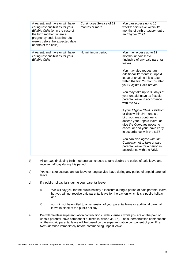| A parent, and have or will have<br>caring responsibilities for your<br>Eligible Child (or in the case of<br>the birth mother, where a<br>pregnancy ends less than 28<br>weeks before the expected date<br>of birth of the child) | Continuous Service of 12<br>months or more | You can access up to 16<br>weeks' paid leave within 12<br>months of birth or placement of<br>an Eligible Child.                                                                                                                                                                                                                                                                                                                                                                                                                                                                                                                                                                                                                                 |
|----------------------------------------------------------------------------------------------------------------------------------------------------------------------------------------------------------------------------------|--------------------------------------------|-------------------------------------------------------------------------------------------------------------------------------------------------------------------------------------------------------------------------------------------------------------------------------------------------------------------------------------------------------------------------------------------------------------------------------------------------------------------------------------------------------------------------------------------------------------------------------------------------------------------------------------------------------------------------------------------------------------------------------------------------|
| A parent, and have or will have<br>caring responsibilities for your<br>Eligible Child                                                                                                                                            | No minimum period                          | You may access up to 12<br>months' unpaid leave<br>(inclusive of any paid parental<br>leave).<br>You may also request an<br>additional 12 months' unpaid<br>leave at anytime if it is taken<br>within the first 24 months after<br>your Eligible Child arrives.<br>You may take up to 30 days of<br>your unpaid leave as flexible<br>parental leave in accordance<br>with the NES.<br>If your Eligible Child is stillborn<br>or dies within 24 months of<br>birth you may continue to<br>access your unpaid leave, or<br>give the Company notice to<br>cancel or end your leave early<br>in accordance with the NES.<br>You can also agree with the<br>Company not to take unpaid<br>parental leave for a period in<br>accordance with the NES. |

- b) All *parents* (including birth mothers) can choose to take double the period of paid leave and receive half-pay during this period.
- c) *You* can take accrued annual leave or long service leave during any period of unpaid parental leave.
- d) If a public holiday falls during your parental leave:
	- i) *We* will pay *you* for the public holiday if it occurs during a period of paid parental leave, but *you* will not receive paid parental leave for the day on which it is a public holiday; and
	- ii) *you* will not be entitled to an extension of your parental leave or additional parental leave in place of the public holiday.
- e) *We* will maintain superannuation contributions under clause 9 while *you* are on the paid or unpaid parental leave component outlined in clause 35.1 a). The superannuation contributions on the unpaid parental leave will be based on the superannuation component of your *Fixed Remuneration* immediately before commencing unpaid leave.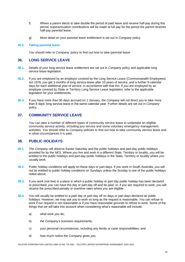- f) Where a *parent* elects to take double the period of paid leave and receive half-pay during this period, superannuation contributions will be made at full pay for the period the *parent* receives half-pay parental leave.
- g) More detail on your parental leave entitlement is set out in *Company* policy.

#### **35.2. Taking parental leave**

*You* should refer to *Company* policy to find out how to take parental leave.

### **36. LONG SERVICE LEAVE**

- **36.1.** Details of your long service leave entitlement are set out in *Company* policy and applicable long service leave legislation.
- **36.2.** If *you* are employed by an employer covered by the Long Service Leave (Commonwealth Employees) Act 1976, *you* get 3 months of long service leave after 10 years of service, and a further 9 calendar days for each additional year of service, in accordance with that Act. If *you* are employed by an employer covered by State or Territory Long Service Leave legislation, refer to the applicable legislation for your entitlements.
- **36.3.** If you have more than 90 days accrued on 1 January, *the Company* will not direct *you* to take more than 9 days' long service leave in the same calendar year. Further details are set out in *Company* policy.

# **37. COMMUNITY SERVICE LEAVE**

*You* can take a number of different types of community service leave to undertake an eligible community service activity, including jury service and some voluntary emergency management activities. *You* should refer to *Company* policies to find out how to take community service leave and in what circumstances it is paid.

# **38. PUBLIC HOLIDAYS**

- **38.1.** *The Company* will observe Easter Saturday and the public holidays and part-day public holidays provided for by the *NES*. Where *you* live and work in a different State, Territory or locality, *you* will be entitled to the public holidays and part-day public holidays in the State, Territory or locality where *you* usually work.
- **38.2.** Public holiday conditions will apply on these days or part-days. If *you* work in South Australia, *you* will not be entitled to public holiday conditions on Sundays unless the Sunday is one of the public holidays noted above.
- **38.3.** If *you* work (not live) in a place in which a public holiday or part day public holiday has been declared or prescribed, *you* can have the day or part-day off and be paid; or, if *you* are required to work, *you* will receive the prescribed penalty or overtime rates where *you* are eligible.
- **38.4.** *You* will usually be entitled to a paid day or part-day off on days or part days declared as public holidays. However, *we* may ask *you* to work so long as the request is reasonable. *You* can refuse to work if *our* request is not reasonable or if *you* have reasonable grounds to refuse to work. Some of the things that *we* will take into account when considering what's reasonable will include:
	- a) what work *you* do;
	- b) *the Company'*s business requirements;
	- c) your personal circumstances, including any family or carer responsibilities; and
	- d) how much notice *the Company* gives *you*.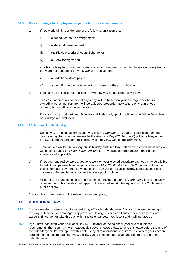#### **38.5. Public holidays for employees on particular hours arrangements**

- a) If *you* work full-time under one of the following arrangements:
	- i) a scheduled hours arrangement;
	- ii) a shiftwork arrangement;
	- iii) the Flexible Working Hours Scheme; or
	- iv) a 9-day fortnight; and

a public holiday falls on a day when *you* could have been scheduled to work ordinary hours but were not scheduled to work, *you* will receive either:

- v) an additional day's pay, or
- vi) a day off in lieu to be taken within 4 weeks of the public holiday.
- b) If this day off in lieu is not possible, *we* will pay *you* an additional day's pay.

The calculation of an additional day's pay will be based on your average daily hours excluding penalties. Payment will be adjusted proportionately where only part of your ordinary hours fall on a public holiday.

c) If *you* ordinarily work between Monday and Friday only, public holidays that fall on Saturdays or Sundays are excluded.

#### **38.6. 26 January Public Holiday**

- a) Unless *you* are a casual employee, *you* and *the Company* may agree to substitute another day for a day that would otherwise be the Australia Day ("**26 January**") public holiday under the *NES* if the 26 January public holiday is a day *you* would ordinarily work.
- b) Time worked on the 26 January public holiday and time taken off on the elected substitute day will be paid based on *Fixed Remuneration* plus any grandfathered and/or higher duties allowance (if applicable).
- c) If *you* are required by *the Company* to work on your elected substitute day, *you* may be eligible for additional payments as set out in clauses 19.2, 20, 63, 68.3 and 69.2, but *you* will not be eligible for such payments for working on the 26 January public holiday to the extent these clauses confer entitlements for working on a public holiday.
- d) All other terms and conditions of employment provided under this *Agreement* that are usually observed for public holidays will apply to the elected substitute day, and not the 26 January public holiday.

*You* can find more details in the relevant *Company* policy.

### **39. ADDITIONAL DAY**

- **39.1.** *You* are entitled to take an additional paid day off each calendar year. *You* can choose the timing of this day, subject to your manager's approval and taking business and customer requirements into account. If *you* do not take this day within the calendar year, *you* lose it and it will not accrue.
- **39.2.** If *you* have not taken your Additional Day by 1 October of the calendar year due to business requirements, then *you* may, with reasonable notice, choose a date to take this leave before the end of the calendar year. *We* will approve this date, subject to operational requirements. Where your chosen date cannot be accommodated, *we* will allow *you* to take an alternative date before the end of the calendar year.

TELSTRA CORPORATION LIMITED (ABN 33 051 775 556) TELSTRA LIMITED ENTERPRISE AGREEMENT 2022-2024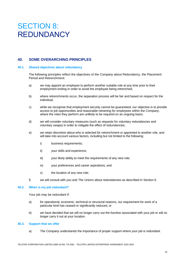# SECTION 8: REDUNDANCY

# **40. SOME OVERARCHING PRINCIPLES**

#### **40.1. Shared objectives about redundancy**

The following principles reflect the objectives of *the Company* about Redundancy, the Placement Period and Retrenchment:

- a) *we* may appoint an employee to perform another suitable role at any time prior to their employment ending in order to avoid the employee being retrenched;
- b) where retrenchments occur, the separation process will be fair and based on respect for the individual;
- c) while *we* recognise that employment security cannot be guaranteed, *our* objective is to provide access to job opportunities and reasonable retraining for employees within *the Company*, where the roles they perform are unlikely to be required on an ongoing basis;
- d) *we* will consider voluntary measures (such as requests for voluntary redundancies and voluntary swaps) in order to mitigate the effect of redundancies;
- e) *we* retain discretion about who is selected for retrenchment or appointed to another role, and will take into account various factors, including but not limited to the following:
	- i) business requirements;
	- ii) your skills and experience;
	- iii) your likely ability to meet the requirements of any new role:
	- iv) your preferences and career aspirations; and
	- v) the location of any new role;
- f) *we* will consult with *you* and *The Unions* about redundancies as described in Section 6.

#### **40.2. When is my job redundant?**

Your job may be redundant if:

- a) for operational, economic, technical or structural reasons, *our* requirement for work of a particular kind has ceased or significantly reduced, or
- b) *we* have decided that we will no longer carry out the function associated with your job or will no longer carry it out at your location.

#### **40.3. Support that we offer**

a) *The Company* understands the importance of proper support where your job is redundant.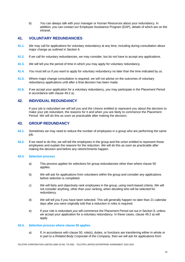b) *You* can always talk with your manager or Human Resources about your redundancy. In addition, *you* can contact *our* Employee Assistance Program (EAP), details of which are on the intranet.

# **41. VOLUNTARY REDUNDANCIES**

- **41.1.** *We* may call for applications for voluntary redundancy at any time, including during consultation about major change as outlined in Section 6.
- **41.2.** If *we* call for voluntary redundancies, *we* may consider, but do not have to accept any applications.
- **41.3.** *We* will tell *you* the period of time in which *you* may apply for voluntary redundancy.
- **41.4.** *You* must tell *us* if *you* want to apply for voluntary redundancy no later than the time indicated by *us*.
- **41.5.** Where major change consultation is required, *we* will not advise on the outcomes of voluntary redundancy applications until after a final decision has been made.
- **41.6.** If *we* accept your application for a voluntary redundancy, *you* may participate in the Placement Period in accordance with clause 49.2 a).

# **42. INDIVIDUAL REDUNDANCY**

If your job is redundant *we* will tell *you* and *the Unions* entitled to represent *you* about the decision to make your job redundant, the reasons for it and when *you* are likely to commence the Placement Period. *We* will do this as soon as practicable after making the decision.

#### **43. GROUP REDUNDANCY**

- **43.1.** Sometimes *we* may need to reduce the number of employees in a group who are performing the same iob.
- **43.2.** If *we* need to do this, *we* will tell the employees in the group and the union entitled to represent those employees and explain the reasons for the reduction. *We* will do this as soon as practicable after making the decision and before any retrenchments happen.

#### **43.3. Selection process**

- a) This process applies for selections for group redundancies other than where clause 50 applies.
- b) *We* will ask for applications from volunteers within the group and consider any applications before selection is completed.
- c) *We* will fairly and objectively rank employees in the group, using merit-based criteria. *We* will not consider anything, other than your ranking, when deciding who will be selected for redundancy.
- d) *We* will tell *you* if *you* have been selected. This will generally happen no later than 21 calendar days after *you* were originally told that a reduction in roles is required.
- e) If your role is redundant *you* will commence the Placement Period set out in Section 9, unless *we* accept your application for a voluntary redundancy. In these cases, clause 49.2 a) will apply.

#### **43.4. Selection process where clause 50 applies**

a) If, in accordance with clause 50, role(s), duties, or functions are transferring either in whole or in part to a *Related Body Corporate* of *the Company,* then *we* will ask for applications from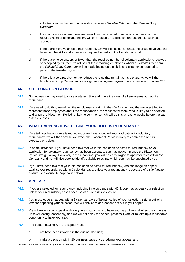volunteers within the group who wish to receive a *Suitable Offer* from the *Related Body Corporate.*

- b) In circumstances where there are fewer than the required number of volunteers, or the required number of volunteers, *we* will only refuse an application on reasonable business grounds.
- c) If there are more volunteers than required, *we* will then select amongst the group of volunteers based on the skills and experience required to perform the transferring work.
- d) If there are no volunteers or fewer than the required number of voluntary applications received or accepted by *us,* then *we* will select the remaining employees whom a *Suitable Offer* from the *Related Body Corporate* will be made based on the skills and experience required to perform the transferring work.
- e) If there is also a requirement to reduce the roles that remain at *the Company*, *we* will then facilitate a Group Redundancy amongst remaining employees in accordance with clause 43.3.

# **44. SITE FUNCTION CLOSURE**

- **44.1.** Sometimes *we* may need to close a *site function* and make the roles of all employees at that site redundant.
- **44.2.** If *we* need to do this, *we* will tell the employees working in the *site function* and the union entitled to represent those employees about the redundancies, the reasons for them, who is likely to be affected and when the Placement Period is likely to commence. *We* will do this at least 6 weeks before the *site function* closes.

# **45. WHAT HAPPENS IF** *WE* **DECIDE YOUR ROLE IS REDUNDANT?**

- **45.1.** If *we* tell *you* that your role is redundant or *we* have accepted your application for voluntary redundancy, *we* will then advise *you* when the Placement Period is likely to commence and its expected end date.
- **45.2.** In some instances, if *you* have been told that your role has been selected for redundancy or your application for voluntary redundancy has been accepted, *you* may not commence the Placement Period straight away. However, in the meantime, *you* will be encouraged to apply for roles within *the Company* and *we* will also seek to identify suitable roles into which *you* may be appointed by *us.*
- **45.3.** If *you* have been told that your role has been selected for redundancy, *you* can lodge an appeal against your redundancy within 9 calendar days, unless your redundancy is because of a *site function*  closure (see clause 46 "Appeals" below).

### **46. APPEALS**

- **46.1.** If *you* are selected for redundancy, including in accordance with 43.4, *you* may appeal your selection unless your redundancy arises because of a *site function* closure.
- **46.2.** *You* must lodge an appeal within 9 calendar days of being notified of your selection, setting out why *you* are appealing your selection. *We* will only consider reasons set out in your appeal.
- **46.3.** *We* will review your appeal and give *you* an opportunity to have your say. How and when this occurs is up to *us* (acting reasonably) and *we* will not delay the appeal process if *you* fail to take up a reasonable opportunity to have your say.
- **46.4.** The person dealing with the appeal must:
	- a) not have been involved in the original decision;
	- b) make a decision within 10 business days of *you* lodging your appeal; and

TELSTRA CORPORATION LIMITED (ABN 33 051 775 556) TELSTRA LIMITED ENTERPRISE AGREEMENT 2022-2024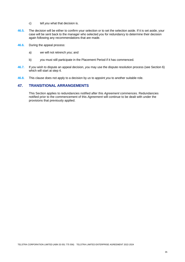- c) tell *you* what that decision is.
- **46.5.** The decision will be either to confirm your selection or to set the selection aside. If it is set aside, your case will be sent back to the manager who selected *you* for redundancy to determine their decision again following any recommendations that are made.
- **46.6.** During the appeal process:
	- a) *we* will not retrench *you*; and
	- b) *you* must still participate in the Placement Period if it has commenced.
- **46.7.** If *you* wish to dispute an appeal decision, *you* may use the dispute resolution process (see Section 6) which will start at step 4.
- **46.8.** This clause does not apply to a decision by *us* to appoint *you* to another suitable role.

### **47. TRANSITIONAL ARRANGEMENTS**

This Section applies to redundancies notified after this *Agreement* commences. Redundancies notified prior to the commencement of this *Agreement* will continue to be dealt with under the provisions that previously applied.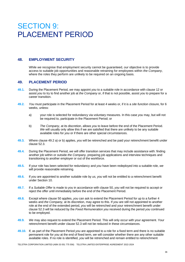# SECTION 9: PLACEMENT PERIOD

### **48. EMPLOYMENT SECURITY**

While *we* recognise that employment security cannot be guaranteed, *our* objective is to provide access to suitable job opportunities and reasonable retraining for employees within *the Company*, where the roles they perform are unlikely to be required on an ongoing basis.

#### **49. PLACEMENT PERIOD**

- **49.1.** During the Placement Period, *we* may appoint *you* to a suitable role in accordance with clause 12 or assist *you* to try to find another job at *the Company* or, if that is not possible, assist *you* to prepare for a career transition.
- **49.2.** *You* must participate in the Placement Period for at least 4 weeks or, if it is a *site function* closure, for 6 weeks, unless:
	- a) your role is selected for redundancy via voluntary measures. In this case *you* may, but will not be required to, participate in the Placement Period; or
	- b) *The Company*, at its discretion, allows *you* to leave before the end of the Placement Period. *We* will usually only allow this if we are satisfied that there are unlikely to be any suitable available roles for *you* or if there are other special circumstances.
- **49.3.** Where clause 49.2 a) or b) applies, *you* will be retrenched and be paid your retrenchment benefit under clause 52.3.
- **49.4.** During the Placement Period, *we* will offer transition services that may include assistance with: finding another job within or outside *the Company*, preparing job applications and interview techniques and transitioning to another employer or out of the workforce.
- **49.5.** If your role has been selected for redundancy and *you* have been redeployed into a suitable role, *we*  will provide reasonable retraining.
- **49.6.** If *you* are appointed to another suitable role by *us, you* will not be entitled to a retrenchment benefit under Section 10.
- **49.7.** If a *Suitable Offer* is made to *you* in accordance with clause 50, *you* will not be required to accept or reject the offer until immediately before the end of the Placement Period.
- **49.8.** Except where clause 50 applies, *you* can ask to extend the Placement Period for up to a further 4 weeks and *the Company,* at its discretion, may agree to this. If *you* are still not appointed to another role at the end of the extended period, *you* will be retrenched and your retrenchment benefit under clause 52.3 will be reduced by the *Fixed Remuneration you* received during the period *you* continued to be employed.
- **49.9.** *We* may also request to extend the Placement Period. This will only occur with your agreement. Your retrenchment benefit under clause 52.3 will not be reduced in these circumstances.
- **49.10.** If, as part of the Placement Period *you* are appointed to a role for a fixed term and there is no suitable permanent role for *you* at the end of fixed term, *we* will consider whether there are any other suitable available roles. If no role is identified, *you* will be retrenched and remain entitled to retrenchment

TELSTRA CORPORATION LIMITED (ABN 33 051 775 556) TELSTRA LIMITED ENTERPRISE AGREEMENT 2022-2024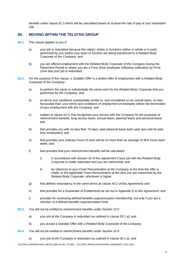benefits under clause 52.3 which will be calculated based on at least the rate of pay of your redundant role.

# **50. MOVING WITHIN THE TELSTRA GROUP**

- **50.1.** This clause applies to *you* if:
	- a) your job is redundant because the role(s), duties or functions (either in whole or in part) performed by *you* and/or your team or *function* are being transferred to a *Related Body Corporate* of *the Company*; and
	- b) *you* are offered employment with the *Related Body Corporate* of *the Company* during the Placement Period or where *you* are a *Fone Zone* employee, following notification by *Fone Zone* that your job is redundant.
- **50.2.** For the purpose of this clause, a *Suitable Offer* is a written offer of employment with a *Related Body Corporate* of *the Company*:
	- a) to perform the same or substantially the same work for the *Related Body Corporate* that *you* performed for *the Company*; and
	- b) on terms and conditions substantially similar to, and considered on an overall basis, no less favourable than, your terms and conditions of employment immediately before the termination of your employment with *the Company*; and
	- c) subject to clause 52.4, that recognises your service with *the Company* for the purposes of retrenchment benefits, long service leave, annual leave, parental leave and personal leave; and
	- d) that provides *you* with no less than 15 days' paid personal leave each year (pro-rata for parttime employees); and
	- e) that provides your ordinary hours of work will be no more than an average of 36¾ hours each week; and
	- f) that provides that your retrenchment benefits will be calculated:
		- i) in accordance with Section 10 of this *Agreement* if your job with the *Related Body Corporate* is made redundant and *you* are retrenched; and
		- ii) by reference to your *Fixed Remuneration* at *the Company* at the time the offer is made, or the applicable *Fixed Remuneration* at the time *you* are retrenched by the *Related Body Corporate*, whichever is higher.
	- g) that defines redundancy in the same terms as clause 40.2 of this *Agreement;* and
	- h) that provides for a Guarantee of Entitlements as set out in Appendix E to this *Agreement*; and
	- i) provides for continuing defined benefits superannuation membership, but only if *you* are a member of a defined benefits superannuation fund*.*
- **50.3.** *You* will not be entitled to retrenchment benefits under Section 10 if:
	- a) your job at *the Company* is redundant as outlined in clause 50.1 a); and
	- b) you accept a Suitable Offer with a *Related Body Corporate* of *the Company*.
- **50.4.** *You* will not be entitled to retrenchment benefits under Section 10 if:
	- a) your job at *the Company* is redundant as outlined in clause 50.1 a); and

TELSTRA CORPORATION LIMITED (ABN 33 051 775 556) TELSTRA LIMITED ENTERPRISE AGREEMENT 2022-2024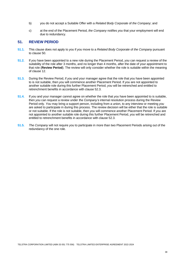- b) you do not accept a Suitable Offer with a *Related Body Corporate* of *the Company*; and
- c) at the end of the Placement Period, *the Company* notifies *you* that your employment will end due to redundancy.

### **51. REVIEW PERIOD**

- **51.1.** This clause does not apply to *you* if *you* move to a *Related Body Corporate* of *the Company* pursuant to clause 50.
- **51.2.** If *you* have been appointed to a new role during the Placement Period, *you* can request a review of the suitability of the role after 3 months, and no longer than 4 months, after the date of your appointment to that role (**Review Period**). The review will only consider whether the role is suitable within the meaning of clause 12.
- **51.3.** During the Review Period, if *you* and your manager agree that the role that *you* have been appointed to is not suitable, then *you* will commence another Placement Period. If *you* are not appointed to another suitable role during this further Placement Period, *you* will be retrenched and entitled to retrenchment benefits in accordance with clause 52.3.
- **51.4.** If *you* and your manager cannot agree on whether the role that *you* have been appointed to is suitable, then *you* can request a review under *the Company's* internal resolution process during the Review Period only. *You* may bring a support person, including from a union, to any interview or meeting *you* are asked to participate in during this process. The review decision will be either that the role is suitable or not suitable. If the role is not suitable, then *you* will commence another Placement Period. If *you* are not appointed to another suitable role during this further Placement Period, *you* will be retrenched and entitled to retrenchment benefits in accordance with clause 52.3.
- **51.5.** *The Company* will not require *you* to participate in more than two Placement Periods arising out of the redundancy of the one role.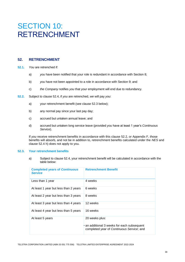# SECTION 10: RETRENCHMENT

# **52. RETRENCHMENT**

- **52.1.** *You* are retrenched if:
	- a) *you* have been notified that your role is redundant in accordance with Section 8;
	- b) *you* have not been appointed to a role in accordance with Section 9; and
	- c) *the Company* notifies *you* that your employment will end due to redundancy.
- **52.2.** Subject to clause 52.4, if *you* are retrenched, *we* will pay *you*:
	- a) your retrenchment benefit (see clause 52.3 below);
	- b) any normal pay since your last pay day;
	- c) accrued but untaken annual leave; and
	- d) accrued but untaken long service leave (provided *you* have at least 1 year's *Continuous Service*).

If *you* receive retrenchment benefits in accordance with this clause 52.2, or Appendix F, those benefits will absorb, and not be in addition to, retrenchment benefits calculated under the *NES* and clause 52.4 h) does not apply to you.

#### **52.3. Your retrenchment benefits**

a) Subject to clause 52.4, your retrenchment benefit will be calculated in accordance with the table below:

| <b>Completed years of Continuous</b><br><b>Service</b> | <b>Retrenchment Benefit</b>                                                                              |
|--------------------------------------------------------|----------------------------------------------------------------------------------------------------------|
| Less than 1 year                                       | 4 weeks                                                                                                  |
| At least 1 year but less than 2 years                  | 6 weeks                                                                                                  |
| At least 2 year but less than 3 years                  | 8 weeks                                                                                                  |
| At least 3 year but less than 4 years                  | 12 weeks                                                                                                 |
| At least 4 year but less than 5 years                  | 16 weeks                                                                                                 |
| At least 5 years                                       | 20 weeks plus:<br>an additional 3 weeks for each subsequent<br>completed year of Continuous Service; and |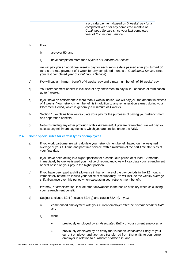#### b) If *you*:

- i) are over 50, and
- ii) have completed more than 5 years of *Continuous Service*,

*we* will pay *you* an additional week's pay for each service date passed after *you* turned 50 (and a pro rata payment of 1 week for any completed months of *Continuous Service* since your last completed year of *Continuous Service*).

- c) *We* will pay a minimum benefit of 4 weeks' pay and a maximum benefit of 80 weeks' pay.
- d) Your retrenchment benefit is inclusive of any entitlement to pay in lieu of notice of termination, up to 4 weeks.
- e) If *you* have an entitlement to more than 4 weeks' notice, *we* will pay *you* the amount in excess of 4 weeks. Your retrenchment benefit is in addition to any remuneration earned during your Placement Period, which is generally a minimum of 4 weeks.
- f) Section 13 explains how *we* calculate your pay for the purposes of paying your retrenchment and separation benefits.
- g) Notwithstanding any other provision of this *Agreement*, if *you* are retrenched, *we* will pay *you* at least any minimum payments to which *you* are entitled under the *NES*.

#### **52.4. Some special rules for certain types of employees**

- a) If *you* work part-time, *we* will calculate your retrenchment benefit based on the weighted average of your full-time and part-time service, with a minimum of the part-time status as at your final day.
- b) If *you* have been acting in a higher position for a continuous period of at least 12 months immediately before *we* issued your notice of redundancy, *we* will calculate your retrenchment benefit based on your pay in the higher position.
- c) If *you* have been paid a shift allowance in half or more of the pay periods in the 12 months immediately before *we* issued your notice of redundancy, *we* will include the weekly average shift allowance over this period when calculating your retrenchment benefit.
- d) *We* may, at *our* discretion, include other allowances in the nature of salary when calculating your retrenchment benefit.
- e) Subject to clause 52.4 f), clause 52.4 g) and clause 52.4 h), if *you*:
	- i) commenced employment with your current employer after the *Commencement Date*; and
	- ii) were:
		- previously employed by an *Associated Entity* of your current employer; or
		- previously employed by an entity that is not an *Associated Entity* of your current employer and *you* have transferred from that entity to your current employer in relation to a *transfer of business*; and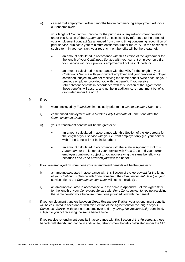iii) ceased that employment within 3 months before commencing employment with your current employer;

your length of *Continuous Service* for the purposes of any retrenchment benefits under this Section of the *Agreement* will be calculated by reference to the terms of your employment contract (as amended from time to time) concerning recognition of prior service, subject to your minimum entitlement under the *NES*. In the absence of such a term in your contract, your retrenchment benefits will be the greater of:

- an amount calculated in accordance with this Section of the *Agreement* for the length of your *Continuous Service* with your current employer only (i.e. your service with your previous employer will not be included); or
- an amount calculated in accordance with the *NES* for the length of your *Continuous Service* with your current employer and your previous employer combined, subject to *you* not receiving the same benefit twice because your previous employer provided *you* with the benefit. If *you* receive retrenchment benefits in accordance with this Section of the *Agreement*, those benefits will absorb, and not be in addition to, retrenchment benefits calculated under the *NES*.

#### f) If *you*:

- i) were employed by *Fone Zone* immediately prior to the *Commencement Date*; and
- ii) commenced employment with a *Related Body Corporate* of Fone Zone after the *Commencement Date*;
- iii) your retrenchment benefits will be the greater of:
	- an amount calculated in accordance with this Section of the *Agreement* for the length of your service with your current employer only (i.e. your service with Fone Zone will not be included); or
	- an amount calculated in accordance with the scale in Appendix F of this *Agreement* for the length of your service with *Fone Zone* and your current employer combined, subject to *you* not receiving the same benefit twice because *Fone Zone* provided *you* with the benefit.
- g) If *you* are employed by *Fone Zone* your retrenchment benefits will be the greater of:
	- i) an amount calculated in accordance with this Section of the *Agreement* for the length of your *Continuous Service* with *Fone Zone* from the *Commencement Date* (i.e. your service prior to the *Commencement Date* will not be included); or
	- ii) an amount calculated in accordance with the scale in Appendix F of this *Agreement* for the length of your *Continuous Service* with *Fone Zone*, subject to *you* not receiving the same benefit twice because *Fone Zone* provided *you* with the benefit.
- h) If your employment transfers between *Group Restructure Entities*, your retrenchment benefits will be calculated in accordance with this Section of the *Agreement* for the length of your *Continuous Service* with your current employer and any *Group Restructure Entity* combined, subject to you not receiving the same benefit twice.
- i) If you receive retrenchment benefits in accordance with this Section of the *Agreement*, those benefits will absorb, and not be in addition to, retrenchment benefits calculated under the NES.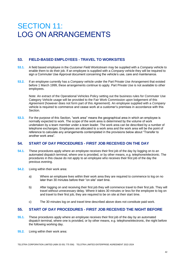# SECTION 11: LOG ON ARRANGEMENTS

# **53. FIELD-BASED EMPLOYEES - TRAVEL TO WORKSITES**

- **53.1.** A field based employee in the *Customer Field Workstream* may be supplied with a *Company* vehicle to enable them to do their job. If an employee is supplied with a *Company* vehicle they will be required to sign a Commuter Use Approval document concerning the vehicle's use, care and maintenance.
- **53.2.** If an employee currently has a *Company* vehicle under the Part Private Use Arrangement that existed before 1 March 1999, these arrangements continue to apply. Part Private Use is not available to other employees.

Note: An extract of the Operational Vehicles Policy setting out the business rules for Commuter Use Category Vehicle usage will be provided to the Fair Work Commission upon lodgement of this *Agreement* (however does not form part of this *Agreement*). An employee supplied with a *Company*  vehicle is required to commence and cease work at a customer's premises in accordance with this **Section** 

**53.3.** For the purpose of this Section, "work area" means the geographical area in which an employee is normally expected to work. The scope of the work area is determined by the volume of work undertaken by a team member under a team leader. The work area can be described by a number of telephone exchanges. Employees are allocated to a work area and the work area will be the point of reference to calculate any arrangements contemplated in the provisions below about "Transfer to another work area".

# **54. START OF DAY PROCEDURES - FIRST JOB RECEIVED ON THE DAY**

- **54.1.** These procedures apply where an employee receives their first job of the day by logging on to an automated dispatch terminal, where one is provided, or by other means, e.g. telephone/electronic. The procedures in this clause do not apply to an employee who receives their first job of the day the previous evening.
- **54.2.** Living within their work area:
	- a) Where an employee lives within their work area they are required to commence to log on no later than 30 minutes before their "on site" start time.
	- b) After logging on and receiving their first job they will commence travel to their first job. They will travel without unnecessary delay. Where it takes 30 minutes or less for the employee to log on and travel to their first job, they are required to be on site at their start time.
	- c) The 30 minutes log on and travel time described above does not constitute paid work.

# **55. START OF DAY PROCEDURES - FIRST JOB RECEIVED THE NIGHT BEFORE**

- **55.1.** These procedures apply where an employee receives their first job of the day by an automated dispatch terminal, where one is provided, or by other means, e.g. telephone/electronic, the night before the following working day.
- **55.2.** Living within their work area: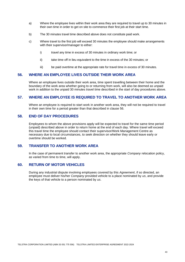- a) Where the employee lives within their work area they are required to travel up to 30 minutes in their own time in order to get on site to commence their first job at their start time.
- b) The 30 minutes travel time described above does not constitute paid work.
- c) Where travel to the first job will exceed 30 minutes the employee should make arrangements with their supervisor/manager to either:
	- i) travel any time in excess of 30 minutes in ordinary work time; or
	- ii) take time off in lieu equivalent to the time in excess of the 30 minutes; or
	- iii) be paid overtime at the appropriate rate for travel time in excess of 30 minutes.

#### **56. WHERE AN EMPLOYEE LIVES OUTSIDE THEIR WORK AREA**

Where an employee lives outside their work area, time spent travelling between their home and the boundary of the work area whether going to or returning from work, will also be deemed as unpaid work in addition to the unpaid 30 minutes travel time described in the start of day procedures above.

#### **57. WHERE AN EMPLOYEE IS REQUIRED TO TRAVEL TO ANOTHER WORK AREA**

Where an employee is required to start work in another work area, they will not be required to travel in their own time for a period greater than that described in clause 56.

### **58. END OF DAY PROCEDURES**

Employees to whom the above provisions apply will be expected to travel for the same time period (unpaid) described above in order to return home at the end of each day. Where travel will exceed this travel time the employee should contact their supervisor/Work Management Centre as necessary due to local circumstances, to seek direction on whether they should leave early or overtime should be worked.

# **59. TRANSFER TO ANOTHER WORK AREA**

In the case of permanent transfer to another work area, the appropriate *Company* relocation policy, as varied from time to time, will apply.

### **60. RETURN OF MOTOR VEHICLES**

During any industrial dispute involving employees covered by this *Agreement*, if so directed, an employee must deliver his/her *Company* provided vehicle to a place nominated by *us*, and provide the keys of that vehicle to a person nominated by *us*.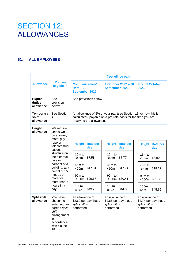# SECTION 12: ALLOWANCES

# **61. ALL EMPLOYEES**

|                                        |                                                                                                                                                                                                                                                       |                                                                                                                            |                                                                                                                                                             |  |                                                                                                                      | You will be paid:                                                 |  |                                                                                                                    |                                                                   |
|----------------------------------------|-------------------------------------------------------------------------------------------------------------------------------------------------------------------------------------------------------------------------------------------------------|----------------------------------------------------------------------------------------------------------------------------|-------------------------------------------------------------------------------------------------------------------------------------------------------------|--|----------------------------------------------------------------------------------------------------------------------|-------------------------------------------------------------------|--|--------------------------------------------------------------------------------------------------------------------|-------------------------------------------------------------------|
| <b>Allowance</b>                       | <b>You are</b><br>eligible if:                                                                                                                                                                                                                        | <b>Commencement</b><br>$Date - 30$<br><b>September 2022</b>                                                                |                                                                                                                                                             |  | 1 October 2022 - 30<br><b>September 2023</b>                                                                         |                                                                   |  | <b>From 1 October</b><br>2023                                                                                      |                                                                   |
| <b>Higher</b><br>duties<br>allowance   | See<br>provision<br>below                                                                                                                                                                                                                             | See provisions below                                                                                                       |                                                                                                                                                             |  |                                                                                                                      |                                                                   |  |                                                                                                                    |                                                                   |
| <b>Temporary</b><br>shift<br>allowance | See Section<br>4                                                                                                                                                                                                                                      |                                                                                                                            | An allowance of 5% of your pay (see Section 13 for how this is<br>calculated), payable on a pro rata basis for the time you are<br>receiving the allowance. |  |                                                                                                                      |                                                                   |  |                                                                                                                    |                                                                   |
| Height<br>allowance                    | We require<br>you to work<br>on a tower,<br>mast, guy-<br>rope or<br>telecommuni<br>cations<br>structure on<br>the external<br>face or<br>parapet of a<br>building, at a<br>height of 15<br>metres or<br>more for<br>more than 2<br>hours in a<br>day | <b>Height</b><br>$15m$ to<br>$<$ 45 $m$<br>45m to<br>< 90m<br>90 <sub>m</sub> to<br>$<$ 150 $m$<br>150 <sub>m</sub><br>and | <b>Rate per</b><br>day<br>\$7.58<br>\$17.31<br>\$29.67<br>\$43.28                                                                                           |  | <b>Height</b><br>$15m$ to<br><45m<br>45m to<br>< 90m<br>90 <sub>m</sub> to<br>$<$ 150 $m$<br>150 <sub>m</sub><br>and | <b>Rate per</b><br>day<br>\$7.77<br>\$17.74<br>\$30.41<br>\$44.36 |  | <b>Height</b><br>15m to<br>$<$ 45 $m$<br>45m to<br>< 90m<br>90 <sub>m</sub> to<br><150m<br>150 <sub>m</sub><br>and | <b>Rate per</b><br>day<br>\$8.00<br>\$18.27<br>\$31.33<br>\$45.69 |
| <b>Split shift</b><br>allowance        | You have<br>chosen to<br>enter into an<br>agreed split<br>shift<br>arrangement<br>in.<br>accordance<br>with clause<br>18.                                                                                                                             | an allowance of<br>\$2.60 per day that a<br>split shift is<br>performed.                                                   |                                                                                                                                                             |  | an allowance of<br>split shift is<br>performed.                                                                      | \$2.66 per day that a                                             |  | an allowance of<br>split shift is<br>performed.                                                                    | \$2.74 per day that a                                             |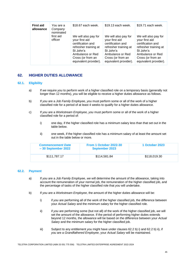| <b>First aid</b><br>allowance | You are a<br>Company<br>nominated | \$18.67 each week.                                                                                                                                                  | \$19.13 each week.                                                                                                                                                  | \$19.71 each week.                                                                                                                                                  |
|-------------------------------|-----------------------------------|---------------------------------------------------------------------------------------------------------------------------------------------------------------------|---------------------------------------------------------------------------------------------------------------------------------------------------------------------|---------------------------------------------------------------------------------------------------------------------------------------------------------------------|
|                               | first aid<br>officer              | We will also pay for<br>your first aid<br>certification and<br>refresher training at<br>St John's<br>Ambulance or Red<br>Cross (or from an<br>equivalent provider). | We will also pay for<br>your first aid<br>certification and<br>refresher training at<br>St John's<br>Ambulance or Red<br>Cross (or from an<br>equivalent provider). | We will also pay for<br>your first aid<br>certification and<br>refresher training at<br>St John's<br>Ambulance or Red<br>Cross (or from an<br>equivalent provider). |

# **62. HIGHER DUTIES ALLOWANCE**

#### **62.1. Eligibility**

- a) If *we* require *you* to perform work of a higher classified role on a temporary basis (generally not longer than 12 months), *you* will be eligible to receive a higher duties allowance as follows.
- b) If *you* are a *Job Family Employee, you* must perform some or all of the work of a higher classified role for a period of at least 4 weeks to qualify for a higher duties allowance.
- c) If *you* are a *Workstream Employee, you* must perform some or all of the work of a higher classified role for a period of:
	- i) one day, if the higher classified role has a minimum salary less than that set out in the table below.
	- ii) one week, if the higher classified role has a minimum salary of at least the amount set out in the table below or more.

| <b>Commencement Date</b><br>$-30$ September 2022 | From 1 October 2022-30<br><b>September 2023</b> | <b>1 October 2023</b> |
|--------------------------------------------------|-------------------------------------------------|-----------------------|
| \$111.787.17                                     | \$114.581.84                                    | \$118,019.30          |

#### **62.2. Payment**

- a) If *you* are a *Job Family Employee*, *we* will determine the amount of the allowance, taking into account the remuneration of your normal job, the remuneration of the higher classified job, and the percentage of tasks of the higher classified role that *you* will undertake.
- b) If *you* are a *Workstream Employee*, the amount of the higher duties allowance will be:
	- i) if *you* are performing all of the work of the higher classified job, the difference between your *Actual Salary* and the minimum salary for the higher classified role.
	- ii) if *you* are performing some (but not all) of the work of the higher classified job, *we* will set the amount of the allowance. If the period of performing higher duties extends beyond 12 months, the allowance will be based on the difference between your *Actual Salary* and the minimum salary for the higher classified job.
	- iii) Subject to any entitlement *you* might have under clauses 62.2 b) i) and 62.2 b) ii), if *you* are a *Grandfathered Employee*, your *Actual Salary* will be maintained.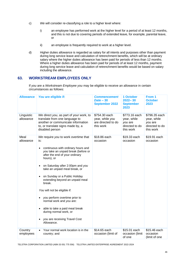- c) *We* will consider re-classifying a role to a higher level where:
	- i) an employee has performed work at the higher level for a period of at least 12 months, and this is not due to covering periods of extended leave, for example, parental leave, or
	- ii) an employee is frequently required to work at a higher level.
- d) Higher duties allowance is regarded as salary for all intents and purposes other than payment during long service leave and calculation of retrenchment benefits, which will be at ordinary salary where the higher duties allowance has been paid for periods of less than 12 months. Where a higher duties allowance has been paid for periods of at least 12 months, payment during long service leave and calculation of retrenchment benefits would be based on salary including the allowance.

# **63. WORKSTREAM EMPLOYEES ONLY**

If *you* are a *Workstream Employee you* may be eligible to receive an allowance in certain circumstances as follows:

| <b>Allowance</b>        | You are eligible if:                                                                                                                                                                                                                                                                                                                                                                                                                                                                                                                                          | <b>Commencement</b><br>$Date - 30$<br><b>September 2022</b>         | 1 October<br>$2022 - 30$<br><b>September</b><br>2023                   | From 1<br><b>October</b><br>2023                                       |  |
|-------------------------|---------------------------------------------------------------------------------------------------------------------------------------------------------------------------------------------------------------------------------------------------------------------------------------------------------------------------------------------------------------------------------------------------------------------------------------------------------------------------------------------------------------------------------------------------------------|---------------------------------------------------------------------|------------------------------------------------------------------------|------------------------------------------------------------------------|--|
| Linguistic<br>allowance | We direct you, as part of your work, to<br>translate from one language to<br>another or communicate information<br>to, or translate signs made by, a<br>disabled person                                                                                                                                                                                                                                                                                                                                                                                       | \$754.30 each<br>year, while you<br>are directed to do<br>this work | \$773.16 each<br>year, while<br>you are<br>directed to do<br>this work | \$796.35 each<br>year, while<br>you are<br>directed to do<br>this work |  |
| Meal<br>allowance       | We require you to work overtime that<br>is:<br>continuous with ordinary hours and<br>$\bullet$<br>you take an unpaid break (before or<br>after the end of your ordinary<br>hours), or<br>on Saturday after 2:00pm and you<br>take an unpaid meal break, or<br>on Sunday or a Public Holiday<br>extending beyond an unpaid meal<br>break.<br>You will not be eligible if:<br>you perform overtime prior to<br>normal work and you are:<br>able to take a paid meal break<br>$\bullet$<br>during normal work, or<br>you are receiving Travel Cost<br>Allowance. | \$18.86 each<br>occasion                                            | \$19.33 each<br>occasion                                               | \$19.91 each<br>occasion                                               |  |
| Country<br>employees    | Your normal work location is in the<br>$\bullet$<br>country; and                                                                                                                                                                                                                                                                                                                                                                                                                                                                                              | \$14.65 each<br>occasion (limit of                                  | \$15.01 each<br>occasion (limit<br>of one                              | \$15.46 each<br>occasion<br>(limit of one                              |  |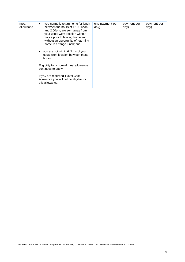| meal<br>allowance | you normally return home for lunch<br>between the hours of 12.00 noon<br>and 2:00pm, are sent away from<br>your usual work location without<br>notice prior to leaving home and<br>without an opportunity of returning<br>home to arrange lunch; and<br>you are not within 6.4kms of your<br>usual work location between these<br>hours.<br>Eligibility for a normal meal allowance<br>continues to apply. | one payment per<br>day) | payment per<br>day) | payment per<br>day) |
|-------------------|------------------------------------------------------------------------------------------------------------------------------------------------------------------------------------------------------------------------------------------------------------------------------------------------------------------------------------------------------------------------------------------------------------|-------------------------|---------------------|---------------------|
|                   | If you are receiving Travel Cost<br>Allowance you will not be eligible for<br>this allowance.                                                                                                                                                                                                                                                                                                              |                         |                     |                     |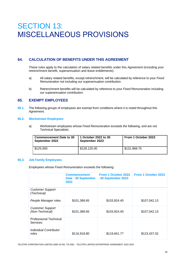# SECTION 13: MISCELLANEOUS PROVISIONS

# **64. CALCULATION OF BENEFITS UNDER THIS AGREEMENT**

These rules apply to the calculation of salary related benefits under this *Agreement* (including your retrenchment benefit, superannuation and leave entitlements):

- a) All salary related benefits, except retrenchment, will be calculated by reference to your *Fixed Remuneration* not including *our* superannuation contribution.
- b) Retrenchment benefits will be calculated by reference to your *Fixed Remuneration* including *our* superannuation contribution.

# **65. EXEMPT EMPLOYEES**

**65.1.** The following groups of employees are exempt from conditions where it is noted throughout this *Agreement.*

#### **65.2. Workstream Employees**

a) Workstream employees whose *Fixed Remuneration* exceeds the following, and are not Technical Specialists:

| <b>Commencement Date to 30</b><br>September 2022 | 1 October 2022 to 30<br>September 2023 | From 1 October 2023 |
|--------------------------------------------------|----------------------------------------|---------------------|
| \$125,000                                        | \$128,125.00                           | \$131,968.75        |

#### **65.3. Job Family Employees**

Employees whose *Fixed Remuneration* exceeds the following:

|                                            | <b>Commencement</b><br>Date - 30 September<br>2022 | From 1 October 2022<br>-30 September 2023 | <b>From 1 October 2023</b> |
|--------------------------------------------|----------------------------------------------------|-------------------------------------------|----------------------------|
| <b>Customer Support</b><br>(Technical)     |                                                    |                                           |                            |
| People Manager roles                       | \$101,389.65                                       | \$103,924.40                              | \$107,042.13               |
| <b>Customer Support</b><br>(Non-Technical) | \$101,389.65                                       | \$103,924.40                              | \$107,042.13               |
| <b>Professional Technical</b><br>Services  |                                                    |                                           |                            |
| Individual Contributor<br>roles            | \$116,918.80                                       | \$119,841.77                              | \$123,437.02               |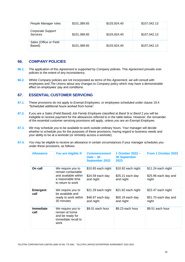| People Manager roles                 | \$101,389.65 | \$103,924.40 | \$107,042.13 |
|--------------------------------------|--------------|--------------|--------------|
| Corporate Support<br><b>Services</b> | \$101,389.65 | \$103,924.40 | \$107,042.13 |
| Sales (Office or Field<br>Based)     | \$101,389.65 | \$103,924.40 | \$107,042.13 |

#### **66.** *COMPANY* **POLICIES**

- **66.1.** The application of this *Agreement* is supported by *Company* policies. This *Agreement* prevails over policies to the extent of any inconsistency.
- **66.2.** Whilst *Company* policies are not incorporated as terms of this *Agreement, we* will consult with employees and *The Unions* about any changes to *Company* policy which may have a demonstrable effect on employees' pay and conditions.

# **67. ESSENTIAL CUSTOMER SERVICING**

- **67.1.** These provisions do not apply to *Exempt Employees,* or employees scheduled under clause 19.4 "Scheduled additional hours worked from home".
- **67.2.** If *you* are a *Sales* (Field Based) *Job Family Employee* classified at *Band* 3i or *Band* 2 *you* will be ineligible to receive payment for the allowances referred to in the table below. However, the remainder of the essential customer servicing provisions will apply, unless *you* are an *Exempt Employee*.
- **67.3.** *We* may schedule *you* to be available to work outside ordinary hours. Your manager will decide whether to schedule *you* for the purposes of these provisions, having regard to business needs and your ability to be at a worksite (or remotely access a worksite).
- **67.4.** *You* may be eligible to receive an allowance in certain circumstances if your manager schedules *you* under these provisions, as follows:

| <b>Allowance</b>         | You are eligible if:                                                                                      | <b>Commencement</b><br>$Date - 30$<br><b>September 2022</b> | 1 October 2022 -<br><b>30 September</b><br>2023      | From 1 October 2023                                 |
|--------------------------|-----------------------------------------------------------------------------------------------------------|-------------------------------------------------------------|------------------------------------------------------|-----------------------------------------------------|
| On call                  | We require you to<br>remain contactable<br>and available within<br>a reasonable time<br>to return to work | \$10.65 each night<br>$$24.59$ each day<br>and night        | \$10.92 each night<br>$$25.21$ each day<br>and night | \$11.24 each night<br>\$25.96 each day and<br>night |
| <b>Emergent</b><br>call  | We require you to<br>be available and<br>ready to work within<br>30 minutes                               | \$21.29 each night<br>\$48.97 each day<br>and night         | \$21.82 each night<br>\$50.19 each day<br>and night  | \$22.47 each night<br>\$51.70 each day and<br>night |
| <b>Immediate</b><br>call | We require you to<br>remain at home<br>and be ready for<br>immediate recall to<br>work                    | \$9.01 each hour                                            | \$9.23 each hour                                     | \$9.51 each hour                                    |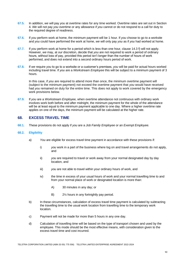- **67.5.** In addition, *we* will pay *you* at overtime rates for any time worked. Overtime rates are set out in Section 4. *We* will not pay *you* overtime or any allowance if *you* cannot or do not respond to a call for duty to the required degree of readiness.
- **67.6.** If *you* perform work at home, the minimum payment will be 1 hour. If *you* choose to go to a worksite and *you* could have performed the work at home, *we* will only pay *you* as if *you* had worked at home.
- **67.7.** If *you* perform work at home for a period which is less than one hour, clause 14.3 f) will not apply. However, *we* may, at *our* discretion, decide that *you* are not required to work a period of ordinary hours, without loss of pay, provided this period isn't longer than the number of hours of work performed, and does not extend into a second ordinary hours period of work.
- **67.8.** If *we* require *you* to go to a worksite or a customer's premises, *you* will be paid for actual hours worked including travel time. If *you* are a *Workstream Employee* this will be subject to a minimum payment of 3 hours.

In this case, if *you* are required to attend more than once, the minimum overtime payment will (subject to the minimum payment) not exceed the overtime payment that *you* would have received had *you* remained on duty for the entire time. This does not apply to work covered by the emergency work provisions below.

**67.9.** If *you* are a *Workstream Employee,* when overtime attendance not continuous with ordinary work involves work both before and after midnight, the minimum payment for the whole of the attendance will be at least equal to the minimum payment applicable to one day. Where a higher overtime rate applies on one of the days, the minimum payment will be calculated at the higher rate.

# **68. EXCESS TRAVEL TIME**

**68.1.** These provisions do not apply if *you* are a *Job Family Employee* or an *Exempt Employee.*

#### **68.2. Eligibility**

- a) *You* are eligible for excess travel time payment in accordance with these provisions if:
	- i) *you* work in a part of the business where log on and travel arrangements do not apply, and
	- ii) *you* are required to travel or work away from your normal designated day by day location, and
	- iii) *you* are not able to travel within your ordinary hours of work, and
	- iv) the time in excess of your usual hours of work and your normal travelling time to and from your normal place of work or designated location is more than:
		- A) 30 minutes in any day; or
		- B) 2½ hours in any fortnightly pay period.
- b) In these circumstances, calculation of excess travel time payment is calculated by subtracting the travelling time to the usual work location from travelling time to the temporary work location.
- c) Payment will not be made for more than 5 hours in any one day.
- d) Calculation of travelling time will be based on the type of transport chosen and used by the employee. This mode should be the most effective means, with consideration given to the excess travel time and cost incurred.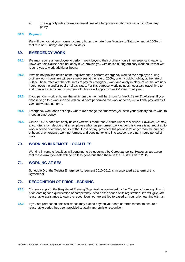e) The eligibility rules for excess travel time at a temporary location are set out in *Company*  policy.

#### **68.3. Payment**

*We* will pay *you* at your normal ordinary hours pay rate from Monday to Saturday and at 150% of that rate on Sundays and public holidays.

# **69. EMERGENCY WORK**

- **69.1.** *We* may require an employee to perform work beyond their ordinary hours in emergency situations. However, this clause does not apply if *we* provide *you* with notice during ordinary work hours that *we*  require *you* to work additional hours.
- **69.2.** If *we* do not provide notice of the requirement to perform emergency work to the employee during ordinary work hours, *we* will pay employees at the rate of 200%, or on a public holiday at the rate of 300%. These rates are the total rates of pay for emergency work and apply in place of normal ordinary hours, overtime and/or public holiday rates. For this purpose, work includes necessary travel time to and from work. A minimum payment of 3 hours will apply for *Workstream Employees.*
- **69.3.** If *you* perform work at home, the minimum payment will be 1 hour for *Workstream Employees.* If *you* choose to go to a worksite and *you* could have performed the work at home, *we* will only pay *you* as if *you* had worked at home.
- **69.4.** Emergency work does not apply where *we* change the time when *you* start your ordinary hours work to meet an emergency.
- **69.5.** Clause 14.3 f) does not apply unless *you* work more than 3 hours under this clause. However, *we* may, at *our* discretion, decide that an employee who has performed work under this clause is not required to work a period of ordinary hours, without loss of pay, provided this period isn't longer than the number of hours of emergency work performed, and does not extend into a second ordinary hours period of work.

#### **70. WORKING IN REMOTE LOCALITIES**

Working in remote localities will continue to be governed by *Company* policy. However, *we* agree that these arrangements will be no less generous than those in the Telstra Award 2015.

# **71. WORKING AT SEA**

Schedule D of the Telstra Enterprise Agreement 2010-2012 is incorporated as a term of this *Agreement*.

### **72. RECOGNITION OF PRIOR LEARNING**

- **72.1.** *You* may apply to the Registered Training Organisation nominated by *the Company* for recognition of prior learning for a qualification or competency listed on the scope of its registration. *We* will give *you* reasonable assistance to gain the recognition *you* are entitled to based on your prior learning with *us*.
- **72.2.** If *you* are retrenched, this assistance may extend beyond your date of retrenchment to ensure a reasonable period has been provided to attain appropriate recognition.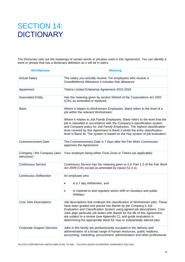# SECTION 14: **DICTIONARY**

The Dictionary sets out the meanings of certain words or phrases used in this *Agreement*. *You* can identify a word or phrase that has a dictionary definition as it will be in italics.

| <b>Word/phrase</b>                        | <b>Meaning</b>                                                                                                                                                                                                                                                                                                                                                                                                                                                                                                   |
|-------------------------------------------|------------------------------------------------------------------------------------------------------------------------------------------------------------------------------------------------------------------------------------------------------------------------------------------------------------------------------------------------------------------------------------------------------------------------------------------------------------------------------------------------------------------|
| <b>Actual Salary</b>                      | The salary you actually receive. For employees who receive a<br>Grandfathered Allowance it includes that allowance.                                                                                                                                                                                                                                                                                                                                                                                              |
| Agreement                                 | Telstra Limited Enterprise Agreement 2022-2024                                                                                                                                                                                                                                                                                                                                                                                                                                                                   |
| <b>Associated Entity</b>                  | Has the meaning given by section 50AAA of the Corporations Act 2001<br>(Cth), as amended or replaced.                                                                                                                                                                                                                                                                                                                                                                                                            |
| Band                                      | Where it relates to Workstream Employees, Band refers to the level of a<br>job within the relevant Workstream.<br>Where it relates to Job Family Employees, Band refers to the level that the<br>job is classified in accordance with the Company's classification system<br>and Company policy for Job Family Employees. The highest classification<br>level covered by this Agreement is Band 2 whilst the entry classification<br>level is Band 4ii. The system is based on the Hay system of job evaluation. |
| <b>Commencement Date</b>                  | The Commencement Date is 7 days after the Fair Work Commission<br>approves the Agreement.                                                                                                                                                                                                                                                                                                                                                                                                                        |
| Company / the Company (also<br>we/us/our) | Your employer being either Fone Zone or Telstra (as applicable)                                                                                                                                                                                                                                                                                                                                                                                                                                                  |
| <b>Continuous Service</b>                 | Continuous Service has the meaning given to it in Part 1-2 of the Fair Work<br>Act 2009 (Cth) except as amended by clause 52.4 e).                                                                                                                                                                                                                                                                                                                                                                               |
| <b>Continuous Shiftworker</b>             | An employee who:<br>is a 7 day shiftworker, and<br>is rostered to and regularly works shift on Sundays and public<br>holidays.                                                                                                                                                                                                                                                                                                                                                                                   |
| Core Jobs Descriptions                    | Job descriptions that underpin the classification of Workstream jobs. These<br>have been graded and placed into Bands by the Company's Job<br>Evaluation and Classification System using agreed job descriptions. Core<br>Jobs align particular job duties with Bands for the life of this Agreement,<br>are subject to a review (see Appendix C), and guide evaluators in<br>determining the appropriate Band for new or substantially altered jobs.                                                            |
| <b>Corporate Support Services</b>         | Jobs in this family are predominantly occupied in the delivery and<br>administration of a broad range of human resources, public relations,<br>accounting, marketing, procurement, administration and other professional                                                                                                                                                                                                                                                                                         |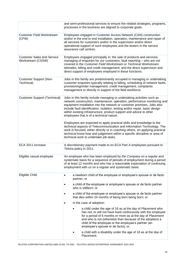|                                                        | and semi-professional services to ensure the related strategies, programs,<br>processes in the business are aligned to corporate goals.                                                                                                                                                                                                                                                                                          |
|--------------------------------------------------------|----------------------------------------------------------------------------------------------------------------------------------------------------------------------------------------------------------------------------------------------------------------------------------------------------------------------------------------------------------------------------------------------------------------------------------|
| <b>Customer Field Workstream</b><br>(CFW)              | Employees engaged in Customer Access Network (CAN) construction<br>and/or in the end to end installation, operation, maintenance and repair of<br>all services for customers and/or in the supervision and/or direct<br>operational support of such employees and the testers in the service<br>assurance call centres.                                                                                                          |
| <b>Customer Sales and Service</b><br>Workstream (CSSW) | Employees engaged principally in: the sale of products and services;<br>managing of enquiries for our customers; fault reporting - who are not<br>covered in the Customer Field Workstream or Technical Workstream;<br>telesales; billing and credit management; and the direct supervision and<br>direct support of employees employed in these functions.                                                                      |
| <b>Customer Support (Non-</b><br>Technical)            | Jobs in this family are predominantly occupied in managing or undertaking<br>customer enquiries typically relating to billing, scheduling of network faults,<br>provisioning/order management, credit management, complaints<br>management or directly in support of the field workforce.                                                                                                                                        |
| <b>Customer Support (Technical)</b>                    | Jobs in this family include managing or undertaking activities such as<br>network construction, maintenance, operation, performance monitoring and<br>equipment installation into the network or customer premises. Jobs also<br>include fault identification, isolation, testing and/or repair, basic design<br>within existing infrastructure, product support and advice to other<br>employees that is of a technical nature. |
|                                                        | Employees are expected to apply practical skills and knowledge to the<br>technical aspects of Telecommunication and Information Technology. The<br>work is focused, either directly or in coaching others, on applying practical<br>technical know-how and judgement within a specific discipline or area of<br>technical work to undertake job tasks.                                                                           |
| ECA 2011 increase                                      | A discretionary payment made to ex-ECA Part A employees pursuant to<br>Telstra policy in 2011.                                                                                                                                                                                                                                                                                                                                   |
| Eligible casual employee                               | An employee who has been employed by the Company on a regular and<br>systematic basis for a sequence of periods of employment during a period<br>of at least 12 months and who has a reasonable expectation of continuing<br>employment with us on a regular and systematic basis.                                                                                                                                               |
| Eligible Child                                         | a newborn child of the employee or employee's spouse or de facto<br>٠<br>partner; or                                                                                                                                                                                                                                                                                                                                             |
|                                                        | a child of the employee or employee's spouse or de facto partner<br>who is stillborn; or                                                                                                                                                                                                                                                                                                                                         |
|                                                        | a child of the employee or employee's spouse or de facto partner<br>that dies within 24 months of being born being born; or                                                                                                                                                                                                                                                                                                      |
|                                                        | in the case of adoption:                                                                                                                                                                                                                                                                                                                                                                                                         |
|                                                        | a child under the age of 16 as at the day of Placement who<br>has not, or will not have lived continuously with the employee<br>for a period of 6 months or more as at the day of Placement<br>and who is not (otherwise than because of the adoption) a<br>child of the employee or the employee's partner (an<br>employee's spouse or de facto); or,                                                                           |
|                                                        | a child with a disability under the age of 18 as at the day of<br>Placement.                                                                                                                                                                                                                                                                                                                                                     |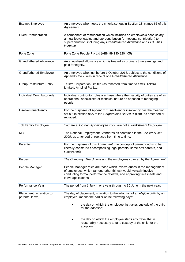| <b>Exempt Employee</b>                       | An employee who meets the criteria set out in Section 13, clause 65 of this<br>Agreement.                                                                                                                                               |
|----------------------------------------------|-----------------------------------------------------------------------------------------------------------------------------------------------------------------------------------------------------------------------------------------|
| <b>Fixed Remuneration</b>                    | A component of remuneration which includes an employee's base salary,<br>annual leave loading and our contribution (or notional contribution) to<br>superannuation, including any Grandfathered Allowance and ECA 2011<br>increase.     |
| Fone Zone                                    | Fone Zone People Pty Ltd (ABN 99 130 820 405)                                                                                                                                                                                           |
| <b>Grandfathered Allowance</b>               | An annualised allowance which is treated as ordinary time earnings and<br>paid fortnightly.                                                                                                                                             |
| <b>Grandfathered Employee</b>                | An employee who, just before 1 October 2018, subject to the conditions of<br>Appendix C4.2, was in receipt of a Grandfathered Allowance.                                                                                                |
| <b>Group Restructure Entity</b>              | Telstra Corporation Limited (as renamed from time to time), Telstra<br>Limited, Amplitel Pty Ltd.                                                                                                                                       |
| Individual Contributor role                  | Individual contributor roles are those where the majority of duties are of an<br>operational, specialised or technical nature as opposed to managing<br>people.                                                                         |
| Insolvent/Insolvency                         | For the purposes of Appendix E, insolvent or insolvency has the meaning<br>set out in section 95A of the Corporations Act 2001 (Cth), as amended or<br>replaced.                                                                        |
| Job Family Employee                          | You are a Job Family Employee if you are not a Workstream Employee.                                                                                                                                                                     |
| <b>NES</b>                                   | The National Employment Standards as contained in the Fair Work Act<br>2009, as amended or replaced from time to time.                                                                                                                  |
| Parent/s                                     | For the purposes of this Agreement, the concept of parenthood is to be<br>liberally construed encompassing legal parents, same-sex parents, and<br>step-parents.                                                                        |
| Parties                                      | The Company, The Unions and the employees covered by the Agreement.                                                                                                                                                                     |
| People Manager                               | People Manager roles are those which involve duties in the management<br>of employees, which (among other things) would typically involve<br>conducting formal performance reviews, and approving timesheets and<br>leave applications. |
| Performance Year                             | The period from 1 July in one year through to 30 June in the next year.                                                                                                                                                                 |
| Placement (in relation to<br>parental leave) | The day of placement, in relation to the adoption of an eligible child by an<br>employee, means the earlier of the following days:<br>the day on which the employee first takes custody of the child<br>for the adoption;               |
|                                              | the day on which the employee starts any travel that is<br>reasonably necessary to take custody of the child for the<br>adoption.                                                                                                       |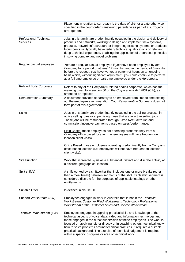|                                                  | Placement in relation to surrogacy is the date of birth or a date otherwise<br>specified in the court order transferring parentage as part of a surrogacy<br>arrangement.                                                                                                                                                                                                                                                                                                                                                                                                                                                          |
|--------------------------------------------------|------------------------------------------------------------------------------------------------------------------------------------------------------------------------------------------------------------------------------------------------------------------------------------------------------------------------------------------------------------------------------------------------------------------------------------------------------------------------------------------------------------------------------------------------------------------------------------------------------------------------------------|
| <b>Professional Technical</b><br><b>Services</b> | Jobs in this family are predominantly occupied in the design and delivery of<br>products and networks, working to design and implement new systems,<br>products, network infrastructure or integrating existing systems or products.<br>Incumbents will typically have tertiary technical qualifications or relevant<br>deep technical experience, enabling the application of theoretical principles<br>in solving complex and novel problems.                                                                                                                                                                                    |
| Regular casual employee                          | You are a regular casual employee if you have been employed by the<br>Company for a period of at least 12 months, and in the period of 6 months<br>before the request, you have worked a pattern of hours on an ongoing<br>basis which, without significant adjustment, you could continue to perform<br>as a full-time employee or part-time employee under the Agreement.                                                                                                                                                                                                                                                        |
| <b>Related Body Corporate</b>                    | Refers to any of the Company's related bodies corporate, which has the<br>meaning given to in section 50 of the Corporations Act 2001 (Cth), as<br>amended or replaced.                                                                                                                                                                                                                                                                                                                                                                                                                                                            |
| <b>Remuneration Summary</b>                      | A document provided separately to an employee from time to time setting<br>out the employee's remuneration. Your Remuneration Summary does not<br>form part of this Agreement.                                                                                                                                                                                                                                                                                                                                                                                                                                                     |
| <b>Sales</b>                                     | Jobs in this family are predominantly occupied in the selling process, in<br>active selling roles or supervising those that are in active selling jobs.<br>These jobs will be remunerated through Fixed Remuneration and<br>commission/incentive payments based on sales/performance.<br>Field Based: those employees not operating predominantly from a<br>Company office based location (i.e. employees will have frequent on<br>location client visits).<br>Office Based: those employees operating predominantly from a Company<br>office based location (i.e. employees will not have frequent on location<br>client visits). |
| <b>Site Function</b>                             | Work that is treated by us as a substantial, distinct and discrete activity at<br>a discrete geographical location.                                                                                                                                                                                                                                                                                                                                                                                                                                                                                                                |
| Split shift(s)                                   | A shift worked by a shiftworker that includes one or more breaks (other<br>than a meal break) between segments of the shift. Each shift segment is<br>considered discrete for the purposes of applicable loadings or other<br>entitlements.                                                                                                                                                                                                                                                                                                                                                                                        |
| Suitable Offer                                   | Is defined in clause 50.                                                                                                                                                                                                                                                                                                                                                                                                                                                                                                                                                                                                           |
| Support Workstream (SW)                          | Employees engaged in work in Australia that is not in the Technical<br>Workstream, Customer Field Workstream, Technology Professional<br>Workstream or the Customer Sales and Service Workstream.                                                                                                                                                                                                                                                                                                                                                                                                                                  |
| Technical Workstream (TW)                        | Employees engaged in applying practical skills and knowledge to the<br>technical aspects of voice, data, video and information technology and<br>those engaged in the direct supervision of these employees. The work is<br>focused on applying, either directly or in coaching others, technical know-<br>how to solve problems around technical practices. It requires a suitable<br>practical background. The exercise of technical judgement is required<br>within a specific discipline or area of technical work.                                                                                                            |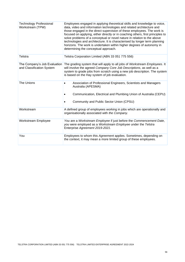| <b>Technology Professional</b><br>Workstream (TPW)        | Employees engaged in applying theoretical skills and knowledge to voice,<br>data, video and information technologies and related architecture and<br>those engaged in the direct supervision of these employees. The work is<br>focused on applying, either directly or in coaching others, first principles to<br>solve problems of a conceptual or novel nature in relation to the above<br>technologies and architecture. It is characterised by longer term planning<br>horizons. The work is undertaken within higher degrees of autonomy in<br>determining the conceptual approach. |
|-----------------------------------------------------------|-------------------------------------------------------------------------------------------------------------------------------------------------------------------------------------------------------------------------------------------------------------------------------------------------------------------------------------------------------------------------------------------------------------------------------------------------------------------------------------------------------------------------------------------------------------------------------------------|
| Telstra                                                   | Telstra Corporation Limited (ABN 33 051 775 556)                                                                                                                                                                                                                                                                                                                                                                                                                                                                                                                                          |
| The Company's Job Evaluation<br>and Classification System | The grading system that will apply to all jobs of Workstream Employees. It<br>will involve the agreed Company Core Job Descriptions, as well as a<br>system to grade jobs from scratch using a new job description. The system<br>is based on the Hay system of job evaluation.                                                                                                                                                                                                                                                                                                           |
| The Unions                                                | Association of Professional Engineers, Scientists and Managers<br>Australia (APESMA)<br>Communication, Electrical and Plumbing Union of Australia (CEPU)<br>Community and Public Sector Union (CPSU)                                                                                                                                                                                                                                                                                                                                                                                      |
| Workstream                                                | A defined group of employees working in jobs which are operationally and<br>organisationally associated with the Company.                                                                                                                                                                                                                                                                                                                                                                                                                                                                 |
| <b>Workstream Employee</b>                                | You are a Workstream Employee if just before the Commencement Date,<br>you were employed as a Workstream Employee under the Telstra<br>Enterprise Agreement 2019-2021.                                                                                                                                                                                                                                                                                                                                                                                                                    |
| You                                                       | Employees to whom this Agreement applies. Sometimes, depending on<br>the context, it may mean a more limited group of these employees.                                                                                                                                                                                                                                                                                                                                                                                                                                                    |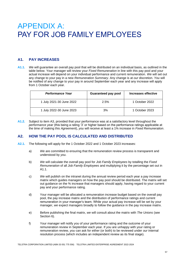# APPENDIX A: PAY FOR JOB FAMILY EMPLOYEES

# **A1. PAY INCREASES**

**A1.1.** *We* will guarantee an overall pay pool that will be distributed on an individual basis, as outlined in the table below. Your manager will review your *Fixed Remuneration* in line with this pay pool and your actual increase will depend on your individual performance and current remuneration. *We* will set out any change to your pay in a new *Remuneration Summary*. Any change is at *our* discretion. *You* will be notified of any change to your pay in around September each year and any increase will apply from 1 October each year.

| Performance Year         | <b>Guaranteed pay pool</b> | Increases effective |
|--------------------------|----------------------------|---------------------|
| 1 July 2021-30 June 2022 | 2.5%                       | 1 October 2022      |
| 1 July 2022-30 June 2023 | 3%                         | 1 October 2023      |

**A1.2.** Subject to item A3, provided that your performance was at a satisfactory level throughout the *performance year* (this being a rating '3' or higher based on the performance ratings applicable at the time of making this *Agreement*), *you* will receive at least a 1% increase in *Fixed Remuneration*.

# **A2. HOW THE PAY POOL IS CALCULATED AND DISTRIBUTED**

- **A2.1.** The following will apply for the 1 October 2022 and 1 October 2023 increases:
	- a) *We* are committed to ensuring that the remuneration review process is transparent and understood by *you*.
	- b) *We* will calculate the overall pay pool for *Job Family Employees* by totalling the *Fixed Remuneration* of all *Job Family Employees* and multiplying it by the percentage set out in A1.1.
	- c) *We* will publish on the intranet during the annual review period each year a pay increase matrix which guides managers on how the pay pool should be distributed. The matrix will set out guidance on the % increase that managers should apply, having regard to your current pay and your performance rating.
	- d) Your manager will be allocated a remuneration increase budget based on the overall pay pool, the pay increase matrix and the distribution of performance ratings and current remuneration in your manager's team. While your actual pay increase will be set by your manager, *we* expect managers broadly to follow the guidance in the pay increase matrix.
	- e) Before publishing the final matrix, *we* will consult about the matrix with *The Unions* (see Section 6).
	- f) Your manager will notify *you* of your performance rating and the outcome of your remuneration review in September each year. If *you* are unhappy with your rating or remuneration review, *you* can ask for either (or both) to be reviewed under *our* internal resolution process (which includes an independent review as its final stage).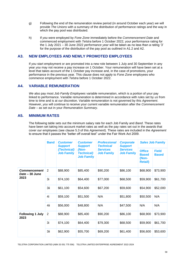- g) Following the end of the remuneration review period (in around October each year) *we* will provide *The Unions* with a summary of the distribution of performance ratings and the way in which the pay pool was distributed.
- h) If *you* were employed by *Fone Zone* immediately before the *Commencement Date* and commenced employment with *Telstra* before 1 October 2022, your performance rating for the 1 July 2021 – 30 June 2022 *performance year* will be taken as no less than a rating '3' for the purpose of the distribution of the pay pool as outlined in A1.2 and A2.

### **A3. NEW EMPLOYEES AND NEWLY PROMOTED EMPLOYEES**

If *you* start employment or are promoted into a new role between 1 July and 30 September in any year *you* may not receive a pay increase on 1 October. Your remuneration will have been set at a level that takes account of the 1 October pay increase and, in the case of promotions, your performance in the previous year. This clause does not apply to *Fone Zone* employees who commence employment with *Telstra* before 1 October 2022.

# **A4. VARIABLE REMUNERATION**

*We* also pay most *Job Family Employees* variable remuneration, which is a portion of your pay linked to performance. Variable remuneration is determined in accordance with rules set by *us* from time to time and is at *our* discretion. Variable remuneration is not governed by this *Agreement*. However, *you* will continue to receive your current variable remuneration after the *Commencement Date* – as set out in your *Remuneration Summary*.

### **A5. MINIMUM RATES**

The following table sets out the minimum salary rate for each Job Family and *Band*. These rates have been set taking into account market rates as well as the pay rates set out in the awards that cover *our* employees (see clause 5.3 of this *Agreement*). These rates are included in the *Agreement*  to ensure that it passes the "better off overall test" under the Fair Work Act 2009.

|                                       | <b>Band</b>    | <b>Customer</b><br><b>Support</b><br>(Technical)<br><b>Job Family</b> | <b>Customer</b><br><b>Support</b><br>(Non-<br><b>Technical)</b><br><b>Job Family</b> | <b>Professional</b><br><b>Technical</b><br><b>Services</b><br><b>Job Family</b> | <b>Corporate</b><br><b>Support</b><br><b>Services</b><br><b>Job Family</b> | <b>Sales Job Family</b>                                  |                              |
|---------------------------------------|----------------|-----------------------------------------------------------------------|--------------------------------------------------------------------------------------|---------------------------------------------------------------------------------|----------------------------------------------------------------------------|----------------------------------------------------------|------------------------------|
|                                       |                |                                                                       |                                                                                      |                                                                                 |                                                                            | <b>Office</b><br><b>Based</b><br>(Non-<br><b>Retail)</b> | <b>Field</b><br><b>Based</b> |
| <b>Commencement</b><br>Date - 30 June | 2              | \$88,900                                                              | \$85,400                                                                             | \$90,200                                                                        | \$86,100                                                                   | \$68,900                                                 | \$73,900                     |
| 2023                                  | 3i             | \$74,100                                                              | \$64,400                                                                             | \$77,000                                                                        | \$68,500                                                                   | \$59,900                                                 | \$61,700                     |
|                                       | 3ii            | \$61,100                                                              | \$54,600                                                                             | \$67,200                                                                        | \$59,600                                                                   | \$54,900                                                 | \$52,000                     |
|                                       | 4i             | \$59,100                                                              | \$51,500                                                                             | N/A                                                                             | \$51,800                                                                   | \$50,500                                                 | N/A                          |
|                                       | 4ii            | \$56,000                                                              | \$48,800                                                                             | N/A                                                                             | \$47,500                                                                   | N/A                                                      | N/A                          |
| <b>Following 1 July</b><br>2023       | $\overline{2}$ | \$88,900                                                              | \$85,400                                                                             | \$90,200                                                                        | \$86,100                                                                   | \$68,900                                                 | \$73,900                     |
|                                       | 3i             | \$74,100                                                              | \$64,400                                                                             | \$79,300                                                                        | \$68,500                                                                   | \$59,900                                                 | \$61,700                     |
|                                       | 3ii            | \$62,900                                                              | \$55,700                                                                             | \$69,200                                                                        | \$61,400                                                                   | \$56,600                                                 | \$53,600                     |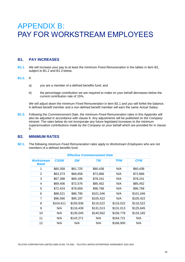# APPENDIX B: PAY FOR WORKSTREAM EMPLOYEES

# **B1. PAY INCREASES**

**B1.1.** *We* will increase your pay to at least the minimum *Fixed Remuneration* in the tables in item B2, subject *to* B1.2 and B1.3 below.

#### **B1.2.** If:

- a) *you* are a member of a defined benefits fund; and
- b) the percentage contribution *we* are required to make on your behalf decreases below the current contribution rate of 15%,

*We* will adjust down the minimum *Fixed Remuneration* in item B2.1 and *you* will forfeit the balance. A defined benefit member and a non-defined benefit member will earn the same *Actual Salary*.

**B1.3.** Following the *Commencement Date*, the minimum *Fixed Remuneration* rates in this Appendix will also be adjusted in accordance with clause 9. Any adjustments will be published on *the Company* intranet. The rates below do not incorporate any future legislated increases to the minimum superannuation contributions made by *the Company* on your behalf which are provided for in clause 9.

### **B2. MINIMUM RATES**

**B2.1.** The following minimum *Fixed Remuneration* rates apply to *Workstream Employees* who are not members of a defined benefits fund:

| <b>Effective Commencement Date</b> |             |           |           |            |            |  |
|------------------------------------|-------------|-----------|-----------|------------|------------|--|
| <b>Workstream</b><br><b>Band</b>   | <b>CSSW</b> | <b>SW</b> | TW        | <b>TPW</b> | <b>CFW</b> |  |
| 1                                  | \$60,358    | \$61,725  | \$60,438  | N/A        | \$60,438   |  |
| $\overline{2}$                     | \$63,373    | \$66,658  | \$72,866  | N/A        | \$72,866   |  |
| 3                                  | \$67,398    | \$69,185  | \$78,241  | N/A        | \$78,241   |  |
| 4                                  | \$69,406    | \$72,576  | \$85,452  | N/A        | \$85,452   |  |
| 5                                  | \$72,424    | \$78,659  | \$96,768  | N/A        | \$96,768   |  |
| 6                                  | \$88,521    | \$86,795  | \$101,046 | N/A        | \$101,046  |  |
| 7                                  | \$96,566    | \$95,197  | \$105,422 | N/A        | \$105,422  |  |
| 8                                  | \$104,611   | \$105,936 | \$116,522 | \$116,522  | \$116,522  |  |
| 9                                  | N/A         | \$116,439 | \$131,013 | \$131,013  | \$125,845  |  |
| 10                                 | N/A         | \$135,045 | \$140,562 | \$156,778  | \$133,165  |  |
| 11                                 | N/A         | \$142,271 | N/A       | \$164,721  | N/A        |  |
| 12                                 | N/A         | N/A       | N/A       | \$166,900  | N/A        |  |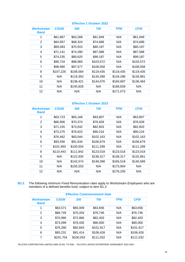| <b>Effective 1 October 2022</b>  |             |           |           |            |            |
|----------------------------------|-------------|-----------|-----------|------------|------------|
| <b>Workstream</b><br><b>Band</b> | <b>CSSW</b> | <b>SW</b> | TW        | <b>TPW</b> | <b>CFW</b> |
| 1                                | \$61,867    | \$63,268  | \$61,949  | N/A        | \$61,949   |
| 2                                | \$64,957    | \$68,324  | \$74,688  | N/A        | \$74,688   |
| 3                                | \$69,083    | \$70,915  | \$80,197  | N/A        | \$80,197   |
| 4                                | \$71,141    | \$74,390  | \$87,588  | N/A        | \$87,588   |
| 5                                | \$74,235    | \$80,625  | \$99,187  | N/A        | \$99,187   |
| 6                                | \$90,734    | \$88,965  | \$103,572 | N/A        | \$103,572  |
| 7                                | \$98,980    | \$97,577  | \$108,058 | N/A        | \$108,058  |
| 8                                | \$107,226   | \$108,584 | \$119,435 | \$119,435  | \$119,435  |
| 9                                | N/A         | \$119,350 | \$134,288 | \$134,288  | \$128,991  |
| 10                               | N/A         | \$138,421 | \$144,076 | \$160,697  | \$136,494  |
| 11                               | N/A         | \$145,828 | N/A       | \$168,839  | N/A        |
| 12                               | N/A         | N/A       | N/A       | \$171,073  | N/A        |

|                                  |             |           | <b>Effective 1 October 2023</b> |            |            |
|----------------------------------|-------------|-----------|---------------------------------|------------|------------|
| <b>Workstream</b><br><b>Band</b> | <b>CSSW</b> | <b>SW</b> | TW                              | <b>TPW</b> | <b>CFW</b> |
| 1                                | \$63,723    | \$65,166  | \$63,807                        | N/A        | \$63,807   |
| 2                                | \$66,906    | \$70,374  | \$76,928                        | N/A        | \$76,928   |
| 3                                | \$71,155    | \$73,042  | \$82,603                        | N/A        | \$82,603   |
| 4                                | \$73,275    | \$76,622  | \$90,216                        | N/A        | \$90,216   |
| 5                                | \$76,462    | \$83,044  | \$102,163                       | N/A        | \$102,163  |
| 6                                | \$93,456    | \$91,634  | \$106,679                       | N/A        | \$106,679  |
| $\overline{7}$                   | \$101,950   | \$100,504 | \$111,299                       | N/A        | \$111,299  |
| 8                                | \$110,443   | \$111,842 | \$123,018                       | \$123,018  | \$123,018  |
| 9                                | N/A         | \$122,930 | \$138,317                       | \$138,317  | \$132,861  |
| 10                               | N/A         | \$142,574 | \$148,398                       | \$165,518  | \$140,589  |
| 11                               | N/A         | \$150,203 | N/A                             | \$173,904  | N/A        |
| 12                               | N/A         | N/A       | N/A                             | \$176,205  | N/A        |

**B2.2.** The following minimum *Fixed Remuneration* rates apply to *Workstream Employees* who are members of a defined benefits fund, subject to item B1.2:

| <b>Effective Commencement Date</b> |             |           |           |            |            |
|------------------------------------|-------------|-----------|-----------|------------|------------|
| <b>Workstream</b><br><b>Band</b>   | <b>CSSW</b> | <b>SW</b> | <b>TW</b> | <b>TPW</b> | <b>CFW</b> |
| 1                                  | \$63,571    | \$65,009  | \$63,656  | N/A        | \$63,656   |
| $\overline{2}$                     | \$66,745    | \$70,204  | \$76,746  | N/A        | \$76,746   |
| 3                                  | \$70,980    | \$72,866  | \$82,403  | N/A        | \$82,403   |
| 4                                  | \$73,099    | \$76,435  | \$90,000  | N/A        | \$90,000   |
| 5                                  | \$76,280    | \$82,843  | \$101,917 | N/A        | \$101,917  |
| 6                                  | \$93,231    | \$91,414  | \$106,426 | N/A        | \$106,426  |
| 7                                  | \$101,704   | \$100,263 | \$111,032 | N/A        | \$111,032  |

TELSTRA CORPORATION LIMITED (ABN 33 051 775 556) TELSTRA LIMITED ENTERPRISE AGREEMENT 2022-2024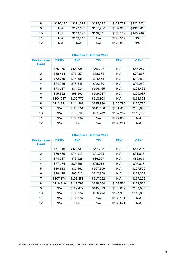| 8  | \$110,177 | \$111,573 | \$122,722 | \$122,722 | \$122,722 |
|----|-----------|-----------|-----------|-----------|-----------|
| 9  | N/A       | \$122,635 | \$137,986 | \$137,986 | \$132,541 |
| 10 | N/A       | \$142,230 | \$148,041 | \$165,139 | \$140,249 |
| 11 | N/A       | \$149,843 | N/A       | \$173,517 | N/A       |
| 12 | N/A       | N/A       | N/A       | \$175,819 | N/A       |

|                                  |             |           | <b>Effective 1 October 2022</b> |            |            |
|----------------------------------|-------------|-----------|---------------------------------|------------|------------|
| <b>Workstream</b><br><b>Band</b> | <b>CSSW</b> | <b>SW</b> | <b>TW</b>                       | <b>TPW</b> | <b>CFW</b> |
| 1                                | \$65,160    | \$66,634  | \$65,247                        | N/A        | \$65,247   |
| 2                                | \$68,414    | \$71,959  | \$78,665                        | N/A        | \$78,665   |
| 3                                | \$72,755    | \$74,688  | \$84,463                        | N/A        | \$84,463   |
| 4                                | \$74,926    | \$78,346  | \$92,250                        | N/A        | \$92,250   |
| 5                                | \$78,187    | \$84,914  | \$104,465                       | N/A        | \$104,465  |
| 6                                | \$95,562    | \$93,699  | \$109,087                       | N/A        | \$109,087  |
| 7                                | \$104,247   | \$102,770 | \$113,808                       | N/A        | \$113,808  |
| 8                                | \$112,931   | \$114,362 | \$125,790                       | \$125,790  | \$125,790  |
| 9                                | N/A         | \$125,701 | \$141,436                       | \$141,436  | \$135,855  |
| 10                               | N/A         | \$145,786 | \$151,742                       | \$169,267  | \$143,755  |
| 11                               | N/A         | \$153,589 | N/A                             | \$177,855  | N/A        |
| 12                               | N/A         | N/A       | N/A                             | \$180,214  | N/A        |

| <b>Effective 1 October 2023</b>  |             |           |           |            |            |  |
|----------------------------------|-------------|-----------|-----------|------------|------------|--|
| <b>Workstream</b><br><b>Band</b> | <b>CSSW</b> | <b>SW</b> | TW        | <b>TPW</b> | <b>CFW</b> |  |
| 1                                | \$67,115    | \$68,633  | \$67,205  | N/A        | \$67,205   |  |
| 2                                | \$70,466    | \$74,118  | \$81,025  | N/A        | \$81,025   |  |
| 3                                | \$74,937    | \$76,928  | \$86,997  | N/A        | \$86,997   |  |
| 4                                | \$77,174    | \$80,696  | \$95,018  | N/A        | \$95,018   |  |
| 5                                | \$80,533    | \$87,461  | \$107,599 | N/A        | \$107,599  |  |
| 6                                | \$98,429    | \$96,510  | \$112,359 | N/A        | \$112,359  |  |
| 7                                | \$107,374   | \$105,853 | \$117,222 | N/A        | \$117,222  |  |
| 8                                | \$116,319   | \$117,793 | \$129,564 | \$129,564  | \$129,564  |  |
| 9                                | N/A         | \$129,472 | \$145,679 | \$145,679  | \$139,930  |  |
| 10                               | N/A         | \$150,159 | \$156,294 | \$174,345  | \$148,068  |  |
| 11                               | N/A         | \$158,197 | N/A       | \$183,191  | N/A        |  |
| $12 \overline{ }$                | N/A         | N/A       | N/A       | \$185,621  | N/A        |  |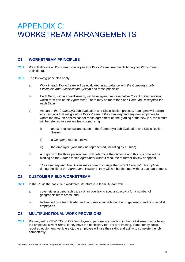# APPENDIX C: WORKSTREAM ARRANGEMENTS

# **C1. WORKSTREAM PRINCIPLES**

- **C1.1.** *We* will allocate a *Workstream Employee* to a *Workstream* (see the Dictionary for *Workstream*  definitions).
- **C1.2.** The *following* principles apply:
	- a) Work in each *Workstream* will be evaluated in accordance with *the Company's Job Evaluation and Classification System* and these principles.
	- b) Each *Band*, within a *Workstream*, will have agreed representative *Core Job Descriptions* which form part of this *Agreement*. There may be more than one *Core Job Description* for each *Band*.
	- c) As part of *the Company's* Job Evaluation and Classification process, managers will design any new jobs that will go into a *Workstream*. If *the Company* and any new employee to whom the new job applies cannot reach agreement on the grading of the new job, the matter will be referred to a review team comprising:
		- i) an external consultant expert in the Company's Job Evaluation and Classification System;
		- ii) a *Company* representative;
		- iii) the employee (who may be represented, including by a union).
	- d) A majority of the three person team will determine the outcome and this outcome will be binding on the *Parties* to this *Agreement* without recourse to further review or appeal.
	- e) *The Company* and *The Unions* may agree to change the current *Core Job Descriptions* during the life of the *Agreement*. However, they will not be changed without such agreement.

### **C2. CUSTOMER FIELD WORKSTREAM**

- **C2.1.** In the *CFW*, the basic field workforce structure is a team. A team will:
	- a) cover either a geographic area or an overlaying specialist activity for a number of geographic team areas; and
	- b) be headed by a team leader and comprise a variable number of generalist and/or specialist employees.

# **C3. MULTIFUNCTIONAL WORK PROVISIONS**

**C3.1.** *We* may ask a *CFW*, *TW* or *TPW* employee to perform any function in their *Workstream* at or below the employee's work *Band*. If they have the necessary tool set (i.e: training, competency, tools, required equipment, vehicle etc), the employee will use their skills and ability to complete the job competently.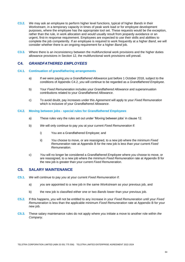- **C3.2.** *We* may ask an employee to perform higher level functions, typical of higher *Bands* in their *Workstream*, in a temporary capacity in times of peak work load or for employee development purposes, where the employee has the appropriate tool set. These requests would be the exception, rather than the rule, in work allocation and *would* usually result from jeopardy avoidance or an urgent, first-in response requirement. Employees are expected to use their skills and abilities to complete the job competently. If an employee is required to work frequently at a higher *Band*, *we* will consider whether there is an ongoing requirement for a higher *Band* job.
- **C3.3.** Where there is an inconsistency between the multifunctional work provisions and the higher duties allowance provisions in Section 12, the multifunctional work provisions will prevail.

# **C4.** *GRANDFATHERED EMPLOYEES*

#### **C4.1. Continuation of grandfathering arrangements**

- a) If *we* were paying *you* a *Grandfathered Allowance* just before 1 October 2018, subject to the conditions of Appendix C4.2, *you* will continue to be regarded as a *Grandfathered Employee*.
- b) Your *Fixed Remuneration* includes your *Grandfathered Allowance* and superannuation contributions related to your *Grandfathered Allowance*.
- c) To avoid doubt, pay increases under this *Agreement* will apply to your *Fixed Remuneration*  which is inclusive of your *Grandfathered Allowance*.

#### **C4.2. Moving between jobs - special rules for** *Grandfathered Employees*

- a) These rules vary the rules set out under 'Moving between jobs' in clause 12.
- b) *We* will only continue to pay *you* at your current *Fixed Remuneration* if:
	- i) You are a Grandfathered Employee; and
	- ii) *You* choose to move, or are reassigned, to a new job where the minimum *Fixed Remuneration* rate at Appendix B for the new job is less than your current *Fixed Remuneration*.
- c) *You* will no longer be considered a *Grandfathered Employee* where *you* choose to move, or are reassigned, to a new job where the minimum *Fixed Remuneration* rate at Appendix B for the new job is greater than your current *Fixed Remuneration*.

# **C5. SALARY MAINTENANCE**

- **C5.1.** *We* will continue to pay *you* at your current *Fixed Remuneration* if:
	- a) *you* are appointed to a new job in the same *Workstream* as your previous job, and
	- b) the new job is classified either one or two *Bands* lower than your previous job.
- **C5.2.** If this happens, *you* will not be entitled to any increase in your *Fixed Remuneration* until your *Fixed Remuneration* is less than the applicable minimum *Fixed Remuneration* rate at Appendix B for your new job.
- **C5.3.** These salary maintenance rules do not apply where *you* initiate a move to another role within *the Company*.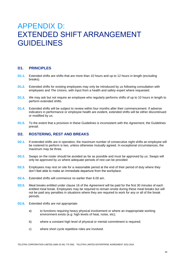# APPENDIX D: EXTENDED SHIFT ARRANGEMENT **GUIDELINES**

### **D1. PRINCIPLES**

- **D1.1.** Extended shifts are shifts that are more than 10 hours and up to 12 hours in length (excluding breaks).
- **D1.2.** Extended shifts for existing employees may only be introduced by *us* following consultation with employees and *The Unions*, with input from a health and safety expert where requested.
- **D1.3.** *We* may ask but not require an employee who regularly performs shifts of up to 10 hours in length to perform extended shifts.
- **D1.4.** Extended shifts will be subject to review within four months after their commencement. If adverse indicators in performance or employee health are evident, extended shifts will be either discontinued or modified by *us*.
- **D1.5.** To the extent that a provision in these Guidelines is inconsistent with the *Agreement*, the Guidelines prevail.

### **D2. ROSTERING, REST AND BREAKS**

- **D2.1.** If extended shifts are in operation, the maximum number of consecutive night shifts an employee will be rostered to perform is two, unless otherwise mutually agreed. In exceptional circumstances, the maximum may be three.
- **D2.2.** Swaps on the roster should be avoided as far as possible and must be approved by *us*. Swaps will only be approved by *us* where adequate periods of rest can be provided
- **D2.3.** Employees may rest on site for a reasonable period at the end of their period of duty where they don't feel able to make an immediate departure from the workplace.
- **D2.4.** Extended shifts will commence no earlier than 6.00 am.
- **D2.5.** Meal breaks entitled under clause 16 of the *Agreement* will be paid for the first 30 minutes of each entitled meal break. Employees may be required to remain onsite during these meal breaks but will not be paid any penalties in situations where they are required to work for any or all of the break periods.
- **D2.6.** Extended shifts are not appropriate:
	- a) to functions requiring heavy physical involvement or where an inappropriate working environment exists (e.g: high levels of heat, noise, etc);
	- b) where a constant high level of physical or mental commitment is required;
	- c) where short cycle repetitive roles are involved.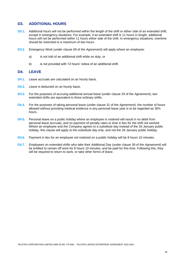### **D3. ADDITIONAL HOURS**

- **D3.1.** Additional hours will not be performed within the length of the shift or either side of an extended shift, except in emergency situations. For example, if an extended shift is 11 hours in length, additional hours will not be performed within 11 hours either side of the shift. In emergency situations, overtime should be restricted to a maximum of two hours.
- **D3.2.** Emergency Work (under clause 69 of the *Agreement*) will apply where an employee:
	- a) is not told of an additional shift while on duty, or
	- b) is not provided with 12 hours' notice of an additional shift.

### **D4. LEAVE**

- **D4.1.** Leave accruals are calculated on an hourly basis.
- **D4.2.** Leave is deducted on an hourly basis.
- **D4.3.** For the purposes of accruing additional annual leave (under clause 29 of the *Agreement*), two extended shifts are equivalent to three ordinary shifts.
- **D4.4.** For the purposes of taking personal leave (under clause 31 of the *Agreement*), the number of hours allowed without providing medical evidence in any personal leave year is to be regarded as 36¾ hours.
- **D4.5.** Personal leave on a public holiday where an employee is rostered will result in no debit from personal leave accruals, and no payment of penalty rates or time in lieu for the shift not worked. Where an employee and *the Company* agrees to a substitute day instead of the 26 January public holiday, this clause will apply to the substitute day only, and not the 26 January public holiday.
- **D4.6.** Payment in lieu for an employee not rostered on a public holiday will be 8 hours 10 minutes.
- **D4.7.** Employees on extended shifts who take their Additional Day (under clause 39 of the *Agreement*) will be entitled to remain off work for 8 hours 10 minutes, and be paid for this time. Following this, they will be required to return to work, or take other forms of leave.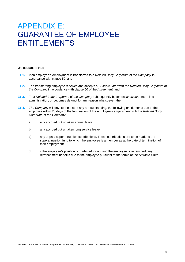# APPENDIX E: GUARANTEE OF EMPLOYEE ENTITLEMENTS

*We* guarantee that:

- **E1.1.** If an employee's employment is transferred to a *Related Body Corporate* of *the Company* in accordance with clause 50; and
- **E1.2.** The transferring employee receives and accepts a *Suitable Offer* with the *Related Body Corporate* of *the Company* in accordance with clause 50 of the *Agreement*; and
- **E1.3.** That *Related Body Corporate* of *the Company* subsequently becomes *insolvent*, enters into administration, or becomes defunct for any reason whatsoever; then
- **E1.4.** *The Company* will pay, to the extent any are outstanding, the following entitlements due to the employee within 28 days of the termination of the employee's employment with the *Related Body Corporate* of *the Company*:
	- a) any accrued but untaken annual leave;
	- b) any accrued but untaken long service leave;
	- c) any unpaid superannuation contributions. These contributions are to be made to the superannuation fund to which the employee is a member as at the date of termination of their employment;
	- d) if the employee's position is made redundant and the employee is retrenched, any retrenchment benefits due to the employee pursuant to the terms of the *Suitable Offer*.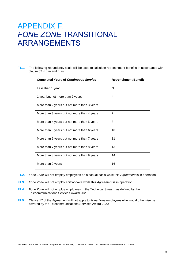# APPENDIX F: *FONE ZONE* TRANSITIONAL ARRANGEMENTS

**F1.1.** The following redundancy scale will be used to calculate retrenchment benefits in accordance with clause  $52.4 f$ ) ii) and g) ii):

| <b>Completed Years of Continuous Service</b> | <b>Retrenchment Benefit</b> |
|----------------------------------------------|-----------------------------|
| Less than 1 year                             | Nil                         |
| 1 year but not more than 2 years             | 4                           |
| More than 2 years but not more than 3 years  | 6                           |
| More than 3 years but not more than 4 years  | $\overline{7}$              |
| More than 4 years but not more than 5 years  | 8                           |
| More than 5 years but not more than 6 years  | 10                          |
| More than 6 years but not more than 7 years  | 11                          |
| More than 7 years but not more than 8 years  | 13                          |
| More than 8 years but not more than 9 years  | 14                          |
| More than 9 years                            | 16                          |

- **F1.2.** *Fone Zone* will not employ employees on a casual basis while this *Agreement* is in operation.
- **F1.3.** *Fone Zone* will not employ shiftworkers while this *Agreement* is in operation.
- **F1.4.** *Fone Zone* will not employ employees in the Technical Stream, as defined by the Telecommunications Services Award 2020.
- **F1.5.** Clause 17 of the *Agreement* will not apply to *Fone Zone* employees who would otherwise be covered by the Telecommunications Services Award 2020.